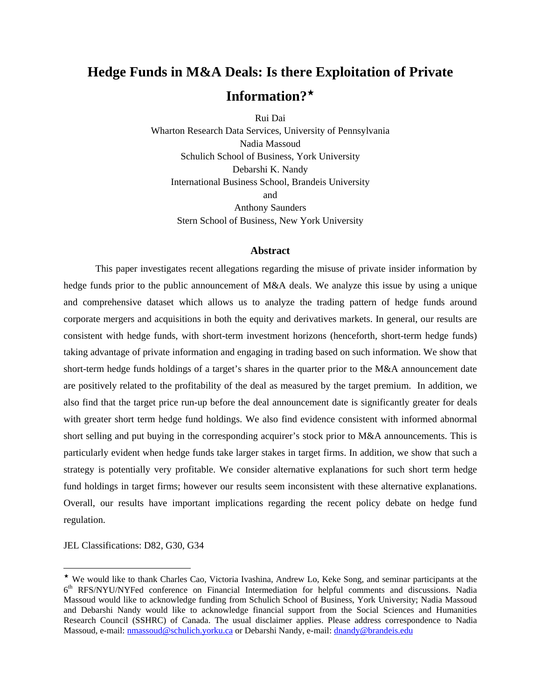# **Hedge Funds in M&A Deals: Is there Exploitation of Private Information?**

Rui Dai Wharton Research Data Services, University of Pennsylvania Nadia Massoud Schulich School of Business, York University Debarshi K. Nandy International Business School, Brandeis University and Anthony Saunders Stern School of Business, New York University

#### **Abstract**

This paper investigates recent allegations regarding the misuse of private insider information by hedge funds prior to the public announcement of M&A deals. We analyze this issue by using a unique and comprehensive dataset which allows us to analyze the trading pattern of hedge funds around corporate mergers and acquisitions in both the equity and derivatives markets. In general, our results are consistent with hedge funds, with short-term investment horizons (henceforth, short-term hedge funds) taking advantage of private information and engaging in trading based on such information. We show that short-term hedge funds holdings of a target's shares in the quarter prior to the M&A announcement date are positively related to the profitability of the deal as measured by the target premium. In addition, we also find that the target price run-up before the deal announcement date is significantly greater for deals with greater short term hedge fund holdings. We also find evidence consistent with informed abnormal short selling and put buying in the corresponding acquirer's stock prior to M&A announcements. This is particularly evident when hedge funds take larger stakes in target firms. In addition, we show that such a strategy is potentially very profitable. We consider alternative explanations for such short term hedge fund holdings in target firms; however our results seem inconsistent with these alternative explanations. Overall, our results have important implications regarding the recent policy debate on hedge fund regulation.

JEL Classifications: D82, G30, G34

We would like to thank Charles Cao, Victoria Ivashina, Andrew Lo, Keke Song, and seminar participants at the 6th RFS/NYU/NYFed conference on Financial Intermediation for helpful comments and discussions. Nadia Massoud would like to acknowledge funding from Schulich School of Business, York University; Nadia Massoud and Debarshi Nandy would like to acknowledge financial support from the Social Sciences and Humanities Research Council (SSHRC) of Canada. The usual disclaimer applies. Please address correspondence to Nadia Massoud, e-mail: nmassoud@schulich.yorku.ca or Debarshi Nandy, e-mail: dnandy@brandeis.edu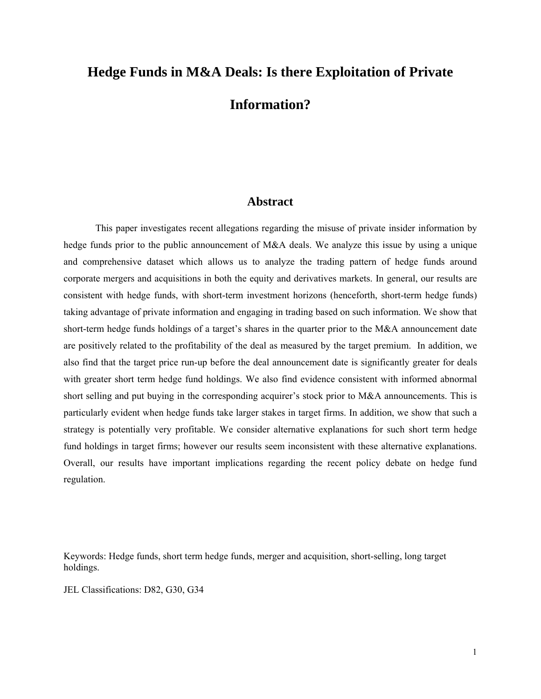## **Hedge Funds in M&A Deals: Is there Exploitation of Private**

## **Information?**

## **Abstract**

This paper investigates recent allegations regarding the misuse of private insider information by hedge funds prior to the public announcement of M&A deals. We analyze this issue by using a unique and comprehensive dataset which allows us to analyze the trading pattern of hedge funds around corporate mergers and acquisitions in both the equity and derivatives markets. In general, our results are consistent with hedge funds, with short-term investment horizons (henceforth, short-term hedge funds) taking advantage of private information and engaging in trading based on such information. We show that short-term hedge funds holdings of a target's shares in the quarter prior to the M&A announcement date are positively related to the profitability of the deal as measured by the target premium. In addition, we also find that the target price run-up before the deal announcement date is significantly greater for deals with greater short term hedge fund holdings. We also find evidence consistent with informed abnormal short selling and put buying in the corresponding acquirer's stock prior to M&A announcements. This is particularly evident when hedge funds take larger stakes in target firms. In addition, we show that such a strategy is potentially very profitable. We consider alternative explanations for such short term hedge fund holdings in target firms; however our results seem inconsistent with these alternative explanations. Overall, our results have important implications regarding the recent policy debate on hedge fund regulation.

Keywords: Hedge funds, short term hedge funds, merger and acquisition, short-selling, long target holdings.

JEL Classifications: D82, G30, G34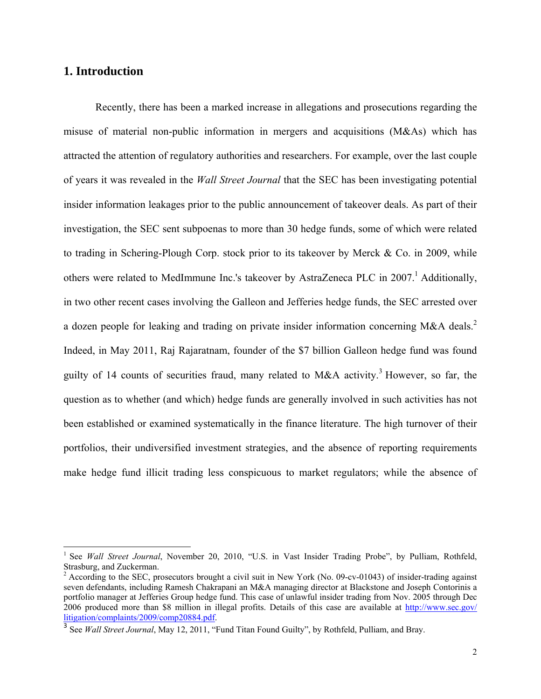## **1. Introduction**

Recently, there has been a marked increase in allegations and prosecutions regarding the misuse of material non-public information in mergers and acquisitions (M&As) which has attracted the attention of regulatory authorities and researchers. For example, over the last couple of years it was revealed in the *Wall Street Journal* that the SEC has been investigating potential insider information leakages prior to the public announcement of takeover deals. As part of their investigation, the SEC sent subpoenas to more than 30 hedge funds, some of which were related to trading in Schering-Plough Corp. stock prior to its takeover by Merck & Co. in 2009, while others were related to MedImmune Inc.'s takeover by AstraZeneca PLC in 2007.<sup>1</sup> Additionally, in two other recent cases involving the Galleon and Jefferies hedge funds, the SEC arrested over a dozen people for leaking and trading on private insider information concerning M&A deals.<sup>2</sup> Indeed, in May 2011, Raj Rajaratnam, founder of the \$7 billion Galleon hedge fund was found guilty of 14 counts of securities fraud, many related to M&A activity.<sup>3</sup> However, so far, the question as to whether (and which) hedge funds are generally involved in such activities has not been established or examined systematically in the finance literature. The high turnover of their portfolios, their undiversified investment strategies, and the absence of reporting requirements make hedge fund illicit trading less conspicuous to market regulators; while the absence of

<sup>1</sup> See *Wall Street Journal*, November 20, 2010, "U.S. in Vast Insider Trading Probe", by Pulliam, Rothfeld, Strasburg, and Zuckerman.

 $2^2$  According to the SEC, prosecutors brought a civil suit in New York (No. 09-cv-01043) of insider-trading against seven defendants, including Ramesh Chakrapani an M&A managing director at Blackstone and Joseph Contorinis a portfolio manager at Jefferies Group hedge fund. This case of unlawful insider trading from Nov. 2005 through Dec 2006 produced more than \$8 million in illegal profits. Details of this case are available at http://www.sec.gov/ litigation/complaints/2009/comp20884.pdf.

<sup>&</sup>lt;sup>3</sup> See *Wall Street Journal*, May 12, 2011, "Fund Titan Found Guilty", by Rothfeld, Pulliam, and Bray.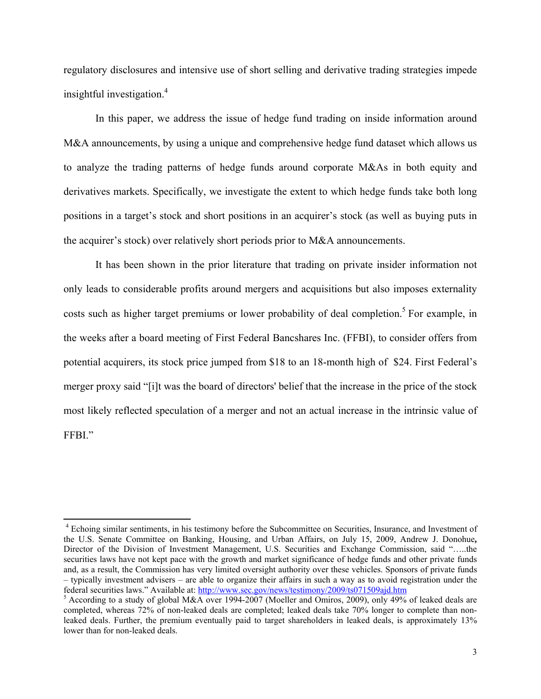regulatory disclosures and intensive use of short selling and derivative trading strategies impede insightful investigation.<sup>4</sup>

In this paper, we address the issue of hedge fund trading on inside information around M&A announcements, by using a unique and comprehensive hedge fund dataset which allows us to analyze the trading patterns of hedge funds around corporate M&As in both equity and derivatives markets. Specifically, we investigate the extent to which hedge funds take both long positions in a target's stock and short positions in an acquirer's stock (as well as buying puts in the acquirer's stock) over relatively short periods prior to M&A announcements.

It has been shown in the prior literature that trading on private insider information not only leads to considerable profits around mergers and acquisitions but also imposes externality costs such as higher target premiums or lower probability of deal completion.<sup>5</sup> For example, in the weeks after a board meeting of First Federal Bancshares Inc. (FFBI), to consider offers from potential acquirers, its stock price jumped from \$18 to an 18-month high of \$24. First Federal's merger proxy said "[i]t was the board of directors' belief that the increase in the price of the stock most likely reflected speculation of a merger and not an actual increase in the intrinsic value of FFBI."

<sup>&</sup>lt;sup>4</sup> Echoing similar sentiments, in his testimony before the Subcommittee on Securities, Insurance, and Investment of the U.S. Senate Committee on Banking, Housing, and Urban Affairs, on July 15, 2009, Andrew J. Donohue**,**  Director of the Division of Investment Management, U.S. Securities and Exchange Commission, said "…..the securities laws have not kept pace with the growth and market significance of hedge funds and other private funds and, as a result, the Commission has very limited oversight authority over these vehicles. Sponsors of private funds – typically investment advisers – are able to organize their affairs in such a way as to avoid registration under the federal securities laws." Available at: http://www.sec.gov/news/testimony/2009/ts071509ajd.htm

 $3$  According to a study of global M&A over 1994-2007 (Moeller and Omiros, 2009), only 49% of leaked deals are completed, whereas 72% of non-leaked deals are completed; leaked deals take 70% longer to complete than nonleaked deals. Further, the premium eventually paid to target shareholders in leaked deals, is approximately 13% lower than for non-leaked deals.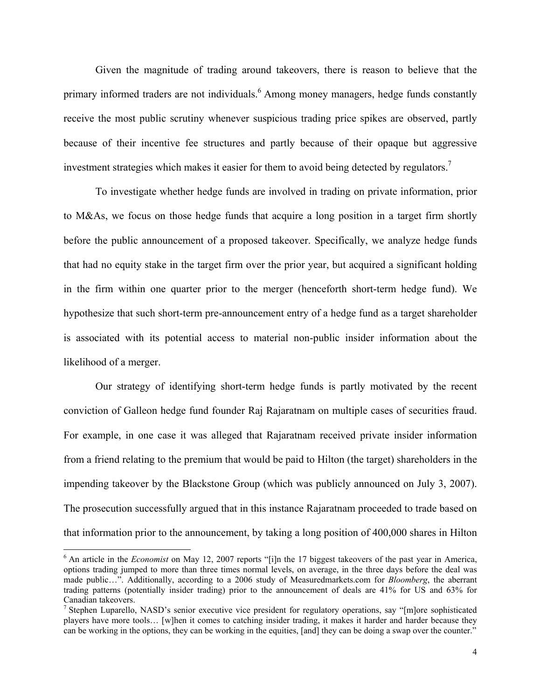Given the magnitude of trading around takeovers, there is reason to believe that the primary informed traders are not individuals.<sup>6</sup> Among money managers, hedge funds constantly receive the most public scrutiny whenever suspicious trading price spikes are observed, partly because of their incentive fee structures and partly because of their opaque but aggressive investment strategies which makes it easier for them to avoid being detected by regulators.<sup>7</sup>

To investigate whether hedge funds are involved in trading on private information, prior to M&As, we focus on those hedge funds that acquire a long position in a target firm shortly before the public announcement of a proposed takeover. Specifically, we analyze hedge funds that had no equity stake in the target firm over the prior year, but acquired a significant holding in the firm within one quarter prior to the merger (henceforth short-term hedge fund). We hypothesize that such short-term pre-announcement entry of a hedge fund as a target shareholder is associated with its potential access to material non-public insider information about the likelihood of a merger.

Our strategy of identifying short-term hedge funds is partly motivated by the recent conviction of Galleon hedge fund founder Raj Rajaratnam on multiple cases of securities fraud. For example, in one case it was alleged that Rajaratnam received private insider information from a friend relating to the premium that would be paid to Hilton (the target) shareholders in the impending takeover by the Blackstone Group (which was publicly announced on July 3, 2007). The prosecution successfully argued that in this instance Rajaratnam proceeded to trade based on that information prior to the announcement, by taking a long position of 400,000 shares in Hilton

<sup>&</sup>lt;sup>6</sup> An article in the *Economist* on May 12, 2007 reports "[i]n the 17 biggest takeovers of the past year in America, options trading jumped to more than three times normal levels, on average, in the three days before the deal was made public…". Additionally, according to a 2006 study of Measuredmarkets.com for *Bloomberg*, the aberrant trading patterns (potentially insider trading) prior to the announcement of deals are 41% for US and 63% for Canadian takeovers.

<sup>&</sup>lt;sup>7</sup> Stephen Luparello, NASD's senior executive vice president for regulatory operations, say "[m]ore sophisticated players have more tools… [w]hen it comes to catching insider trading, it makes it harder and harder because they can be working in the options, they can be working in the equities, [and] they can be doing a swap over the counter."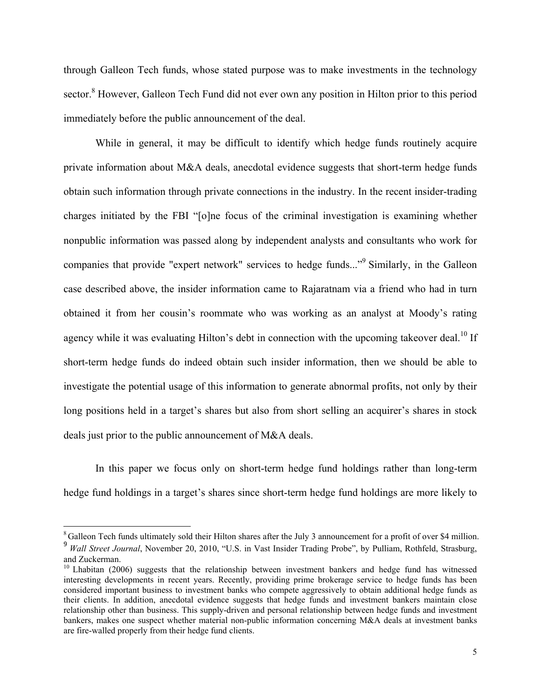through Galleon Tech funds, whose stated purpose was to make investments in the technology sector.<sup>8</sup> However, Galleon Tech Fund did not ever own any position in Hilton prior to this period immediately before the public announcement of the deal.

While in general, it may be difficult to identify which hedge funds routinely acquire private information about M&A deals, anecdotal evidence suggests that short-term hedge funds obtain such information through private connections in the industry. In the recent insider-trading charges initiated by the FBI "[o]ne focus of the criminal investigation is examining whether nonpublic information was passed along by independent analysts and consultants who work for companies that provide "expert network" services to hedge funds..."<sup>9</sup> Similarly, in the Galleon case described above, the insider information came to Rajaratnam via a friend who had in turn obtained it from her cousin's roommate who was working as an analyst at Moody's rating agency while it was evaluating Hilton's debt in connection with the upcoming takeover deal.<sup>10</sup> If short-term hedge funds do indeed obtain such insider information, then we should be able to investigate the potential usage of this information to generate abnormal profits, not only by their long positions held in a target's shares but also from short selling an acquirer's shares in stock deals just prior to the public announcement of M&A deals.

In this paper we focus only on short-term hedge fund holdings rather than long-term hedge fund holdings in a target's shares since short-term hedge fund holdings are more likely to

<sup>&</sup>lt;sup>8</sup> Galleon Tech funds ultimately sold their Hilton shares after the July 3 announcement for a profit of over \$4 million. <sup>9</sup> *Wall Street Journal*, November 20, 2010, "U.S. in Vast Insider Trading Probe", by Pulliam, Rothfeld, Strasburg, and Zuckerman.

 $10$  Lhabitan (2006) suggests that the relationship between investment bankers and hedge fund has witnessed interesting developments in recent years. Recently, providing prime brokerage service to hedge funds has been considered important business to investment banks who compete aggressively to obtain additional hedge funds as their clients. In addition, anecdotal evidence suggests that hedge funds and investment bankers maintain close relationship other than business. This supply-driven and personal relationship between hedge funds and investment bankers, makes one suspect whether material non-public information concerning M&A deals at investment banks are fire-walled properly from their hedge fund clients.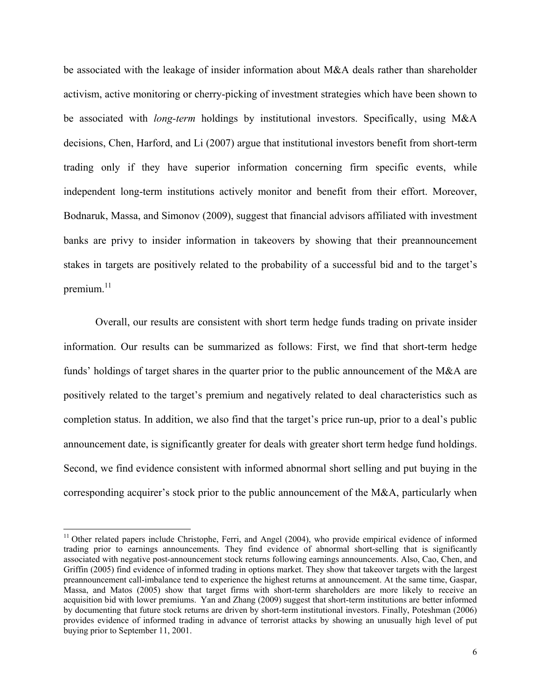be associated with the leakage of insider information about M&A deals rather than shareholder activism, active monitoring or cherry-picking of investment strategies which have been shown to be associated with *long-term* holdings by institutional investors. Specifically, using M&A decisions, Chen, Harford, and Li (2007) argue that institutional investors benefit from short-term trading only if they have superior information concerning firm specific events, while independent long-term institutions actively monitor and benefit from their effort. Moreover, Bodnaruk, Massa, and Simonov (2009), suggest that financial advisors affiliated with investment banks are privy to insider information in takeovers by showing that their preannouncement stakes in targets are positively related to the probability of a successful bid and to the target's premium. $11$ 

Overall, our results are consistent with short term hedge funds trading on private insider information. Our results can be summarized as follows: First, we find that short-term hedge funds' holdings of target shares in the quarter prior to the public announcement of the M&A are positively related to the target's premium and negatively related to deal characteristics such as completion status. In addition, we also find that the target's price run-up, prior to a deal's public announcement date, is significantly greater for deals with greater short term hedge fund holdings. Second, we find evidence consistent with informed abnormal short selling and put buying in the corresponding acquirer's stock prior to the public announcement of the M&A, particularly when

<sup>&</sup>lt;sup>11</sup> Other related papers include Christophe, Ferri, and Angel (2004), who provide empirical evidence of informed trading prior to earnings announcements. They find evidence of abnormal short-selling that is significantly associated with negative post-announcement stock returns following earnings announcements. Also, Cao, Chen, and Griffin (2005) find evidence of informed trading in options market. They show that takeover targets with the largest preannouncement call-imbalance tend to experience the highest returns at announcement. At the same time, Gaspar, Massa, and Matos (2005) show that target firms with short-term shareholders are more likely to receive an acquisition bid with lower premiums. Yan and Zhang (2009) suggest that short-term institutions are better informed by documenting that future stock returns are driven by short-term institutional investors. Finally, Poteshman (2006) provides evidence of informed trading in advance of terrorist attacks by showing an unusually high level of put buying prior to September 11, 2001.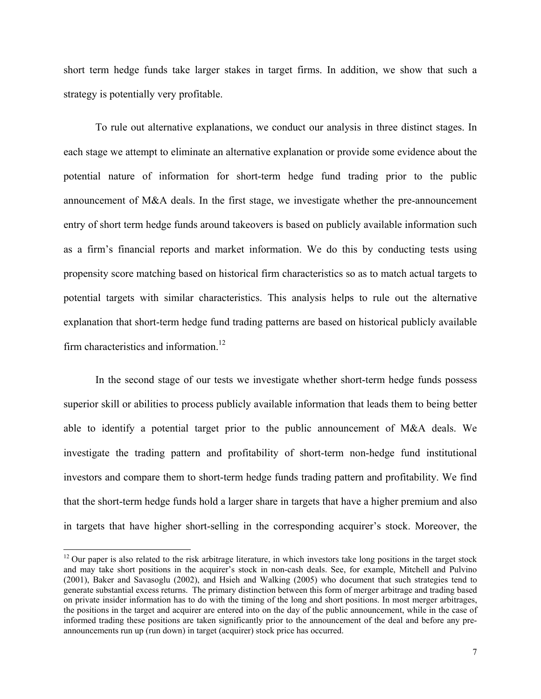short term hedge funds take larger stakes in target firms. In addition, we show that such a strategy is potentially very profitable.

To rule out alternative explanations, we conduct our analysis in three distinct stages. In each stage we attempt to eliminate an alternative explanation or provide some evidence about the potential nature of information for short-term hedge fund trading prior to the public announcement of M&A deals. In the first stage, we investigate whether the pre-announcement entry of short term hedge funds around takeovers is based on publicly available information such as a firm's financial reports and market information. We do this by conducting tests using propensity score matching based on historical firm characteristics so as to match actual targets to potential targets with similar characteristics. This analysis helps to rule out the alternative explanation that short-term hedge fund trading patterns are based on historical publicly available firm characteristics and information.<sup>12</sup>

In the second stage of our tests we investigate whether short-term hedge funds possess superior skill or abilities to process publicly available information that leads them to being better able to identify a potential target prior to the public announcement of M&A deals. We investigate the trading pattern and profitability of short-term non-hedge fund institutional investors and compare them to short-term hedge funds trading pattern and profitability. We find that the short-term hedge funds hold a larger share in targets that have a higher premium and also in targets that have higher short-selling in the corresponding acquirer's stock. Moreover, the

 $12$  Our paper is also related to the risk arbitrage literature, in which investors take long positions in the target stock and may take short positions in the acquirer's stock in non-cash deals. See, for example, Mitchell and Pulvino (2001), Baker and Savasoglu (2002), and Hsieh and Walking (2005) who document that such strategies tend to generate substantial excess returns. The primary distinction between this form of merger arbitrage and trading based on private insider information has to do with the timing of the long and short positions. In most merger arbitrages, the positions in the target and acquirer are entered into on the day of the public announcement, while in the case of informed trading these positions are taken significantly prior to the announcement of the deal and before any preannouncements run up (run down) in target (acquirer) stock price has occurred.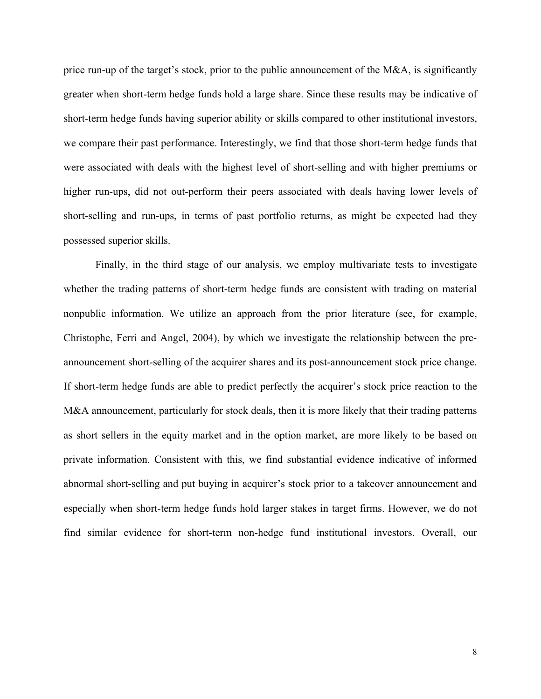price run-up of the target's stock, prior to the public announcement of the M&A, is significantly greater when short-term hedge funds hold a large share. Since these results may be indicative of short-term hedge funds having superior ability or skills compared to other institutional investors, we compare their past performance. Interestingly, we find that those short-term hedge funds that were associated with deals with the highest level of short-selling and with higher premiums or higher run-ups, did not out-perform their peers associated with deals having lower levels of short-selling and run-ups, in terms of past portfolio returns, as might be expected had they possessed superior skills.

Finally, in the third stage of our analysis, we employ multivariate tests to investigate whether the trading patterns of short-term hedge funds are consistent with trading on material nonpublic information. We utilize an approach from the prior literature (see, for example, Christophe, Ferri and Angel, 2004), by which we investigate the relationship between the preannouncement short-selling of the acquirer shares and its post-announcement stock price change. If short-term hedge funds are able to predict perfectly the acquirer's stock price reaction to the M&A announcement, particularly for stock deals, then it is more likely that their trading patterns as short sellers in the equity market and in the option market, are more likely to be based on private information. Consistent with this, we find substantial evidence indicative of informed abnormal short-selling and put buying in acquirer's stock prior to a takeover announcement and especially when short-term hedge funds hold larger stakes in target firms. However, we do not find similar evidence for short-term non-hedge fund institutional investors. Overall, our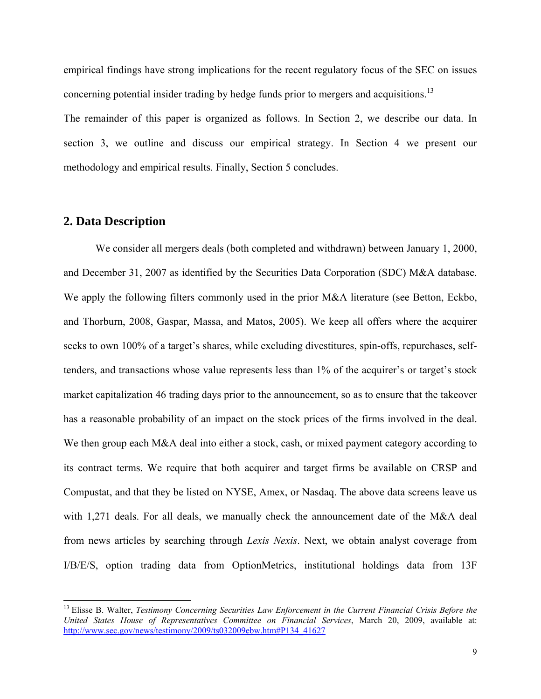empirical findings have strong implications for the recent regulatory focus of the SEC on issues concerning potential insider trading by hedge funds prior to mergers and acquisitions.<sup>13</sup> The remainder of this paper is organized as follows. In Section 2, we describe our data. In section 3, we outline and discuss our empirical strategy. In Section 4 we present our methodology and empirical results. Finally, Section 5 concludes.

## **2. Data Description**

We consider all mergers deals (both completed and withdrawn) between January 1, 2000, and December 31, 2007 as identified by the Securities Data Corporation (SDC) M&A database. We apply the following filters commonly used in the prior M&A literature (see Betton, Eckbo, and Thorburn, 2008, Gaspar, Massa, and Matos, 2005). We keep all offers where the acquirer seeks to own 100% of a target's shares, while excluding divestitures, spin-offs, repurchases, selftenders, and transactions whose value represents less than 1% of the acquirer's or target's stock market capitalization 46 trading days prior to the announcement, so as to ensure that the takeover has a reasonable probability of an impact on the stock prices of the firms involved in the deal. We then group each M&A deal into either a stock, cash, or mixed payment category according to its contract terms. We require that both acquirer and target firms be available on CRSP and Compustat, and that they be listed on NYSE, Amex, or Nasdaq. The above data screens leave us with 1,271 deals. For all deals, we manually check the announcement date of the M&A deal from news articles by searching through *Lexis Nexis*. Next, we obtain analyst coverage from I/B/E/S, option trading data from OptionMetrics, institutional holdings data from 13F

<sup>&</sup>lt;sup>13</sup> Elisse B. Walter, *Testimony Concerning Securities Law Enforcement in the Current Financial Crisis Before the United States House of Representatives Committee on Financial Services*, March 20, 2009, available at: http://www.sec.gov/news/testimony/2009/ts032009ebw.htm#P134\_41627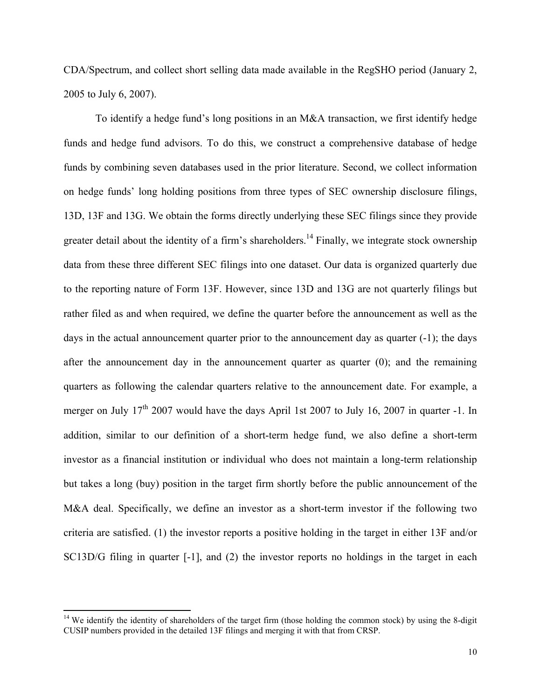CDA/Spectrum, and collect short selling data made available in the RegSHO period (January 2, 2005 to July 6, 2007).

To identify a hedge fund's long positions in an M&A transaction, we first identify hedge funds and hedge fund advisors. To do this, we construct a comprehensive database of hedge funds by combining seven databases used in the prior literature. Second, we collect information on hedge funds' long holding positions from three types of SEC ownership disclosure filings, 13D, 13F and 13G. We obtain the forms directly underlying these SEC filings since they provide greater detail about the identity of a firm's shareholders.<sup>14</sup> Finally, we integrate stock ownership data from these three different SEC filings into one dataset. Our data is organized quarterly due to the reporting nature of Form 13F. However, since 13D and 13G are not quarterly filings but rather filed as and when required, we define the quarter before the announcement as well as the days in the actual announcement quarter prior to the announcement day as quarter (-1); the days after the announcement day in the announcement quarter as quarter (0); and the remaining quarters as following the calendar quarters relative to the announcement date. For example, a merger on July  $17<sup>th</sup>$  2007 would have the days April 1st 2007 to July 16, 2007 in quarter -1. In addition, similar to our definition of a short-term hedge fund, we also define a short-term investor as a financial institution or individual who does not maintain a long-term relationship but takes a long (buy) position in the target firm shortly before the public announcement of the M&A deal. Specifically, we define an investor as a short-term investor if the following two criteria are satisfied. (1) the investor reports a positive holding in the target in either 13F and/or SC13D/G filing in quarter [-1], and (2) the investor reports no holdings in the target in each

<sup>&</sup>lt;sup>14</sup> We identify the identity of shareholders of the target firm (those holding the common stock) by using the 8-digit CUSIP numbers provided in the detailed 13F filings and merging it with that from CRSP.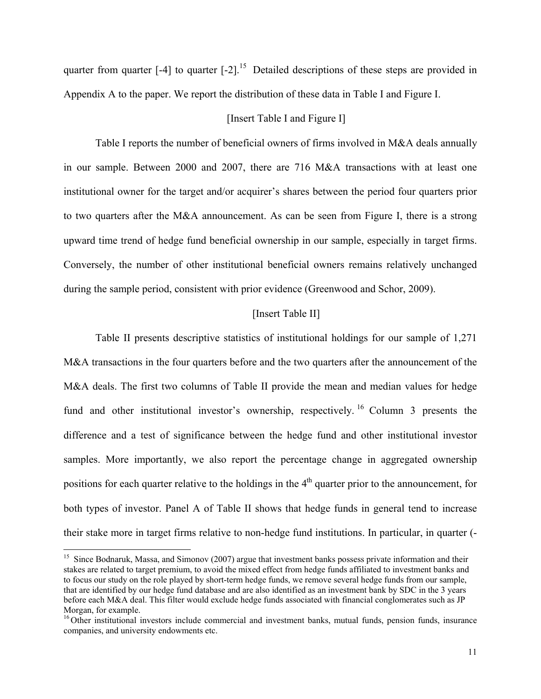quarter from quarter  $[-4]$  to quarter  $[-2]$ .<sup>15</sup> Detailed descriptions of these steps are provided in Appendix A to the paper. We report the distribution of these data in Table I and Figure I.

#### [Insert Table I and Figure I]

Table I reports the number of beneficial owners of firms involved in M&A deals annually in our sample. Between 2000 and 2007, there are 716 M&A transactions with at least one institutional owner for the target and/or acquirer's shares between the period four quarters prior to two quarters after the M&A announcement. As can be seen from Figure I, there is a strong upward time trend of hedge fund beneficial ownership in our sample, especially in target firms. Conversely, the number of other institutional beneficial owners remains relatively unchanged during the sample period, consistent with prior evidence (Greenwood and Schor, 2009).

#### [Insert Table II]

Table II presents descriptive statistics of institutional holdings for our sample of 1,271 M&A transactions in the four quarters before and the two quarters after the announcement of the M&A deals. The first two columns of Table II provide the mean and median values for hedge fund and other institutional investor's ownership, respectively.<sup>16</sup> Column 3 presents the difference and a test of significance between the hedge fund and other institutional investor samples. More importantly, we also report the percentage change in aggregated ownership positions for each quarter relative to the holdings in the  $4<sup>th</sup>$  quarter prior to the announcement, for both types of investor. Panel A of Table II shows that hedge funds in general tend to increase their stake more in target firms relative to non-hedge fund institutions. In particular, in quarter (-

<sup>&</sup>lt;sup>15</sup> Since Bodnaruk, Massa, and Simonov (2007) argue that investment banks possess private information and their stakes are related to target premium, to avoid the mixed effect from hedge funds affiliated to investment banks and to focus our study on the role played by short-term hedge funds, we remove several hedge funds from our sample, that are identified by our hedge fund database and are also identified as an investment bank by SDC in the 3 years before each M&A deal. This filter would exclude hedge funds associated with financial conglomerates such as JP Morgan, for example.

<sup>&</sup>lt;sup>16</sup> Other institutional investors include commercial and investment banks, mutual funds, pension funds, insurance companies, and university endowments etc.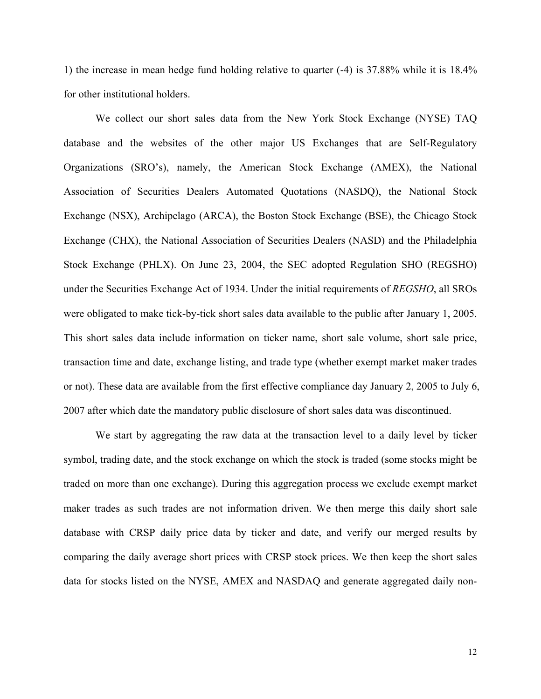1) the increase in mean hedge fund holding relative to quarter (-4) is 37.88% while it is 18.4% for other institutional holders.

We collect our short sales data from the New York Stock Exchange (NYSE) TAQ database and the websites of the other major US Exchanges that are Self-Regulatory Organizations (SRO's), namely, the American Stock Exchange (AMEX), the National Association of Securities Dealers Automated Quotations (NASDQ), the National Stock Exchange (NSX), Archipelago (ARCA), the Boston Stock Exchange (BSE), the Chicago Stock Exchange (CHX), the National Association of Securities Dealers (NASD) and the Philadelphia Stock Exchange (PHLX). On June 23, 2004, the SEC adopted Regulation SHO (REGSHO) under the Securities Exchange Act of 1934. Under the initial requirements of *REGSHO*, all SROs were obligated to make tick-by-tick short sales data available to the public after January 1, 2005. This short sales data include information on ticker name, short sale volume, short sale price, transaction time and date, exchange listing, and trade type (whether exempt market maker trades or not). These data are available from the first effective compliance day January 2, 2005 to July 6, 2007 after which date the mandatory public disclosure of short sales data was discontinued.

We start by aggregating the raw data at the transaction level to a daily level by ticker symbol, trading date, and the stock exchange on which the stock is traded (some stocks might be traded on more than one exchange). During this aggregation process we exclude exempt market maker trades as such trades are not information driven. We then merge this daily short sale database with CRSP daily price data by ticker and date, and verify our merged results by comparing the daily average short prices with CRSP stock prices. We then keep the short sales data for stocks listed on the NYSE, AMEX and NASDAQ and generate aggregated daily non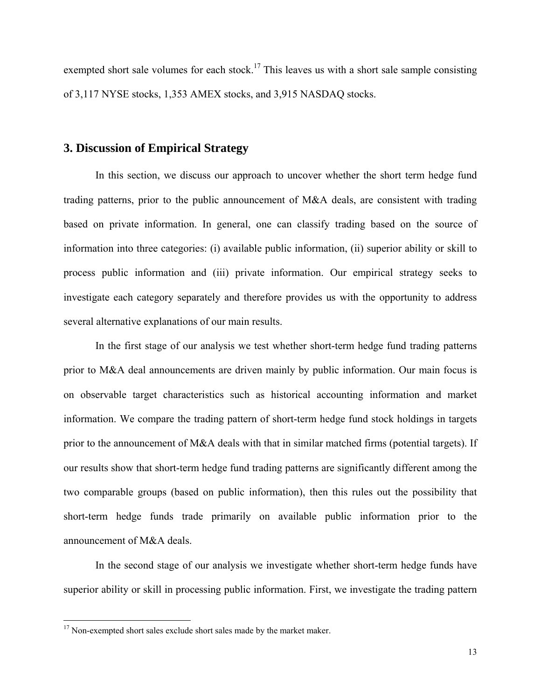exempted short sale volumes for each stock.<sup>17</sup> This leaves us with a short sale sample consisting of 3,117 NYSE stocks, 1,353 AMEX stocks, and 3,915 NASDAQ stocks.

## **3. Discussion of Empirical Strategy**

In this section, we discuss our approach to uncover whether the short term hedge fund trading patterns, prior to the public announcement of M&A deals, are consistent with trading based on private information. In general, one can classify trading based on the source of information into three categories: (i) available public information, (ii) superior ability or skill to process public information and (iii) private information. Our empirical strategy seeks to investigate each category separately and therefore provides us with the opportunity to address several alternative explanations of our main results.

In the first stage of our analysis we test whether short-term hedge fund trading patterns prior to M&A deal announcements are driven mainly by public information. Our main focus is on observable target characteristics such as historical accounting information and market information. We compare the trading pattern of short-term hedge fund stock holdings in targets prior to the announcement of M&A deals with that in similar matched firms (potential targets). If our results show that short-term hedge fund trading patterns are significantly different among the two comparable groups (based on public information), then this rules out the possibility that short-term hedge funds trade primarily on available public information prior to the announcement of M&A deals.

In the second stage of our analysis we investigate whether short-term hedge funds have superior ability or skill in processing public information. First, we investigate the trading pattern

<sup>&</sup>lt;sup>17</sup> Non-exempted short sales exclude short sales made by the market maker.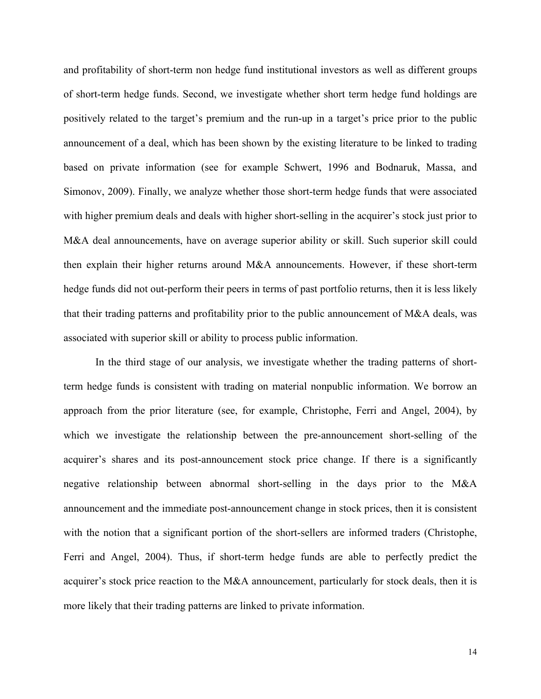and profitability of short-term non hedge fund institutional investors as well as different groups of short-term hedge funds. Second, we investigate whether short term hedge fund holdings are positively related to the target's premium and the run-up in a target's price prior to the public announcement of a deal, which has been shown by the existing literature to be linked to trading based on private information (see for example Schwert, 1996 and Bodnaruk, Massa, and Simonov, 2009). Finally, we analyze whether those short-term hedge funds that were associated with higher premium deals and deals with higher short-selling in the acquirer's stock just prior to M&A deal announcements, have on average superior ability or skill. Such superior skill could then explain their higher returns around M&A announcements. However, if these short-term hedge funds did not out-perform their peers in terms of past portfolio returns, then it is less likely that their trading patterns and profitability prior to the public announcement of M&A deals, was associated with superior skill or ability to process public information.

In the third stage of our analysis, we investigate whether the trading patterns of shortterm hedge funds is consistent with trading on material nonpublic information. We borrow an approach from the prior literature (see, for example, Christophe, Ferri and Angel, 2004), by which we investigate the relationship between the pre-announcement short-selling of the acquirer's shares and its post-announcement stock price change. If there is a significantly negative relationship between abnormal short-selling in the days prior to the M&A announcement and the immediate post-announcement change in stock prices, then it is consistent with the notion that a significant portion of the short-sellers are informed traders (Christophe, Ferri and Angel, 2004). Thus, if short-term hedge funds are able to perfectly predict the acquirer's stock price reaction to the M&A announcement, particularly for stock deals, then it is more likely that their trading patterns are linked to private information.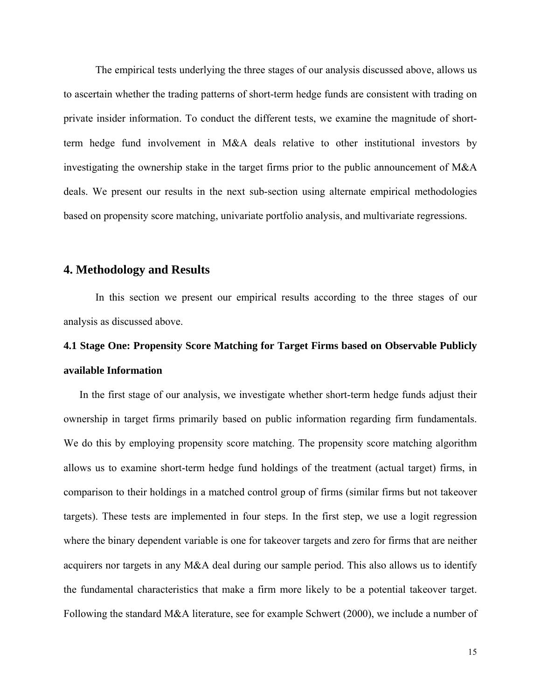The empirical tests underlying the three stages of our analysis discussed above, allows us to ascertain whether the trading patterns of short-term hedge funds are consistent with trading on private insider information. To conduct the different tests, we examine the magnitude of shortterm hedge fund involvement in M&A deals relative to other institutional investors by investigating the ownership stake in the target firms prior to the public announcement of M&A deals. We present our results in the next sub-section using alternate empirical methodologies based on propensity score matching, univariate portfolio analysis, and multivariate regressions.

## **4. Methodology and Results**

 In this section we present our empirical results according to the three stages of our analysis as discussed above.

# **4.1 Stage One: Propensity Score Matching for Target Firms based on Observable Publicly available Information**

In the first stage of our analysis, we investigate whether short-term hedge funds adjust their ownership in target firms primarily based on public information regarding firm fundamentals. We do this by employing propensity score matching. The propensity score matching algorithm allows us to examine short-term hedge fund holdings of the treatment (actual target) firms, in comparison to their holdings in a matched control group of firms (similar firms but not takeover targets). These tests are implemented in four steps. In the first step, we use a logit regression where the binary dependent variable is one for takeover targets and zero for firms that are neither acquirers nor targets in any M&A deal during our sample period. This also allows us to identify the fundamental characteristics that make a firm more likely to be a potential takeover target. Following the standard M&A literature, see for example Schwert (2000), we include a number of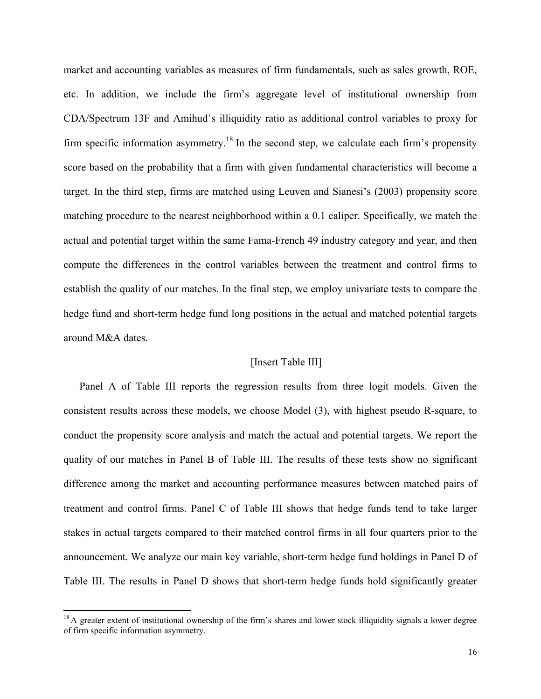market and accounting variables as measures of firm fundamentals, such as sales growth, ROE, etc. In addition, we include the firm's aggregate level of institutional ownership from CDA/Spectrum 13F and Amihud's illiquidity ratio as additional control variables to proxy for firm specific information asymmetry.<sup>18</sup> In the second step, we calculate each firm's propensity score based on the probability that a firm with given fundamental characteristics will become a target. In the third step, firms are matched using Leuven and Sianesi's (2003) propensity score matching procedure to the nearest neighborhood within a 0.1 caliper. Specifically, we match the actual and potential target within the same Fama-French 49 industry category and year, and then compute the differences in the control variables between the treatment and control firms to establish the quality of our matches. In the final step, we employ univariate tests to compare the hedge fund and short-term hedge fund long positions in the actual and matched potential targets around M&A dates.

## [Insert Table III]

Panel A of Table III reports the regression results from three logit models. Given the consistent results across these models, we choose Model (3), with highest pseudo R-square, to conduct the propensity score analysis and match the actual and potential targets. We report the quality of our matches in Panel B of Table III. The results of these tests show no significant difference among the market and accounting performance measures between matched pairs of treatment and control firms. Panel C of Table III shows that hedge funds tend to take larger stakes in actual targets compared to their matched control firms in all four quarters prior to the announcement. We analyze our main key variable, short-term hedge fund holdings in Panel D of Table III. The results in Panel D shows that short-term hedge funds hold significantly greater

 $18$  A greater extent of institutional ownership of the firm's shares and lower stock illiquidity signals a lower degree of firm specific information asymmetry.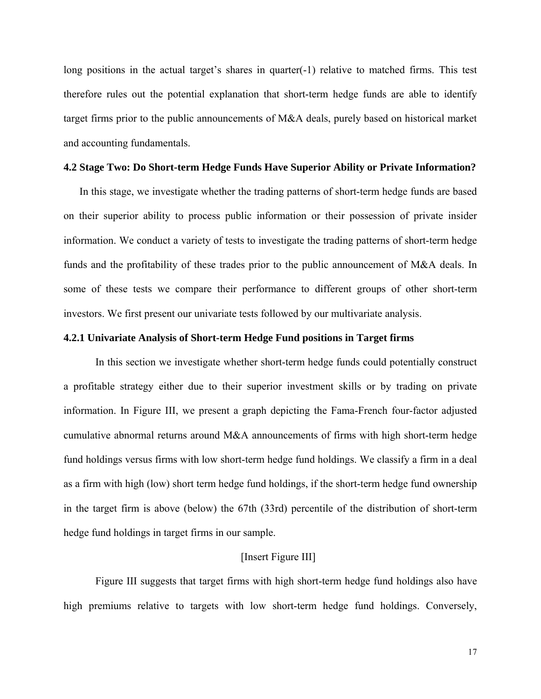long positions in the actual target's shares in quarter(-1) relative to matched firms. This test therefore rules out the potential explanation that short-term hedge funds are able to identify target firms prior to the public announcements of M&A deals, purely based on historical market and accounting fundamentals.

#### **4.2 Stage Two: Do Short-term Hedge Funds Have Superior Ability or Private Information?**

In this stage, we investigate whether the trading patterns of short-term hedge funds are based on their superior ability to process public information or their possession of private insider information. We conduct a variety of tests to investigate the trading patterns of short-term hedge funds and the profitability of these trades prior to the public announcement of M&A deals. In some of these tests we compare their performance to different groups of other short-term investors. We first present our univariate tests followed by our multivariate analysis.

#### **4.2.1 Univariate Analysis of Short-term Hedge Fund positions in Target firms**

In this section we investigate whether short-term hedge funds could potentially construct a profitable strategy either due to their superior investment skills or by trading on private information. In Figure III, we present a graph depicting the Fama-French four-factor adjusted cumulative abnormal returns around M&A announcements of firms with high short-term hedge fund holdings versus firms with low short-term hedge fund holdings. We classify a firm in a deal as a firm with high (low) short term hedge fund holdings, if the short-term hedge fund ownership in the target firm is above (below) the 67th (33rd) percentile of the distribution of short-term hedge fund holdings in target firms in our sample.

#### [Insert Figure III]

Figure III suggests that target firms with high short-term hedge fund holdings also have high premiums relative to targets with low short-term hedge fund holdings. Conversely,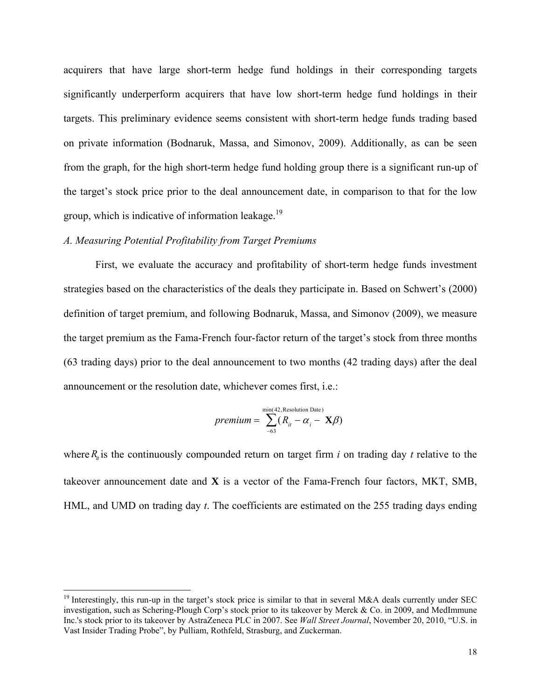acquirers that have large short-term hedge fund holdings in their corresponding targets significantly underperform acquirers that have low short-term hedge fund holdings in their targets. This preliminary evidence seems consistent with short-term hedge funds trading based on private information (Bodnaruk, Massa, and Simonov, 2009). Additionally, as can be seen from the graph, for the high short-term hedge fund holding group there is a significant run-up of the target's stock price prior to the deal announcement date, in comparison to that for the low group, which is indicative of information leakage. $^{19}$ 

#### *A. Measuring Potential Profitability from Target Premiums*

First, we evaluate the accuracy and profitability of short-term hedge funds investment strategies based on the characteristics of the deals they participate in. Based on Schwert's (2000) definition of target premium, and following Bodnaruk, Massa, and Simonov (2009), we measure the target premium as the Fama-French four-factor return of the target's stock from three months (63 trading days) prior to the deal announcement to two months (42 trading days) after the deal announcement or the resolution date, whichever comes first, i.e.:

*premium* = 
$$
\sum_{-63}^{\min(42, \text{Resolution Date})} (R_{it} - \alpha_i - \mathbf{X}\beta)
$$

where  $R_{\mu}$  is the continuously compounded return on target firm *i* on trading day *t* relative to the takeover announcement date and **X** is a vector of the Fama-French four factors, MKT, SMB, HML, and UMD on trading day *t*. The coefficients are estimated on the 255 trading days ending

 $19$  Interestingly, this run-up in the target's stock price is similar to that in several M&A deals currently under SEC investigation, such as Schering-Plough Corp's stock prior to its takeover by Merck & Co. in 2009, and MedImmune Inc.'s stock prior to its takeover by AstraZeneca PLC in 2007. See *Wall Street Journal*, November 20, 2010, "U.S. in Vast Insider Trading Probe", by Pulliam, Rothfeld, Strasburg, and Zuckerman.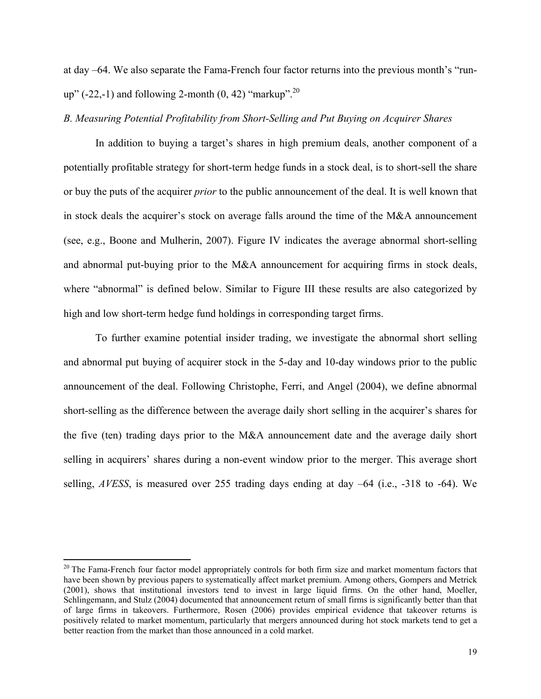at day –64. We also separate the Fama-French four factor returns into the previous month's "runup" (-22,-1) and following 2-month  $(0, 42)$  "markup".<sup>20</sup>

#### *B. Measuring Potential Profitability from Short-Selling and Put Buying on Acquirer Shares*

In addition to buying a target's shares in high premium deals, another component of a potentially profitable strategy for short-term hedge funds in a stock deal, is to short-sell the share or buy the puts of the acquirer *prior* to the public announcement of the deal. It is well known that in stock deals the acquirer's stock on average falls around the time of the M&A announcement (see, e.g., Boone and Mulherin, 2007). Figure IV indicates the average abnormal short-selling and abnormal put-buying prior to the M&A announcement for acquiring firms in stock deals, where "abnormal" is defined below. Similar to Figure III these results are also categorized by high and low short-term hedge fund holdings in corresponding target firms.

To further examine potential insider trading, we investigate the abnormal short selling and abnormal put buying of acquirer stock in the 5-day and 10-day windows prior to the public announcement of the deal. Following Christophe, Ferri, and Angel (2004), we define abnormal short-selling as the difference between the average daily short selling in the acquirer's shares for the five (ten) trading days prior to the M&A announcement date and the average daily short selling in acquirers' shares during a non-event window prior to the merger. This average short selling, *AVESS*, is measured over 255 trading days ending at day –64 (i.e., -318 to -64). We

<sup>&</sup>lt;sup>20</sup> The Fama-French four factor model appropriately controls for both firm size and market momentum factors that have been shown by previous papers to systematically affect market premium. Among others, Gompers and Metrick (2001), shows that institutional investors tend to invest in large liquid firms. On the other hand, Moeller, Schlingemann, and Stulz (2004) documented that announcement return of small firms is significantly better than that of large firms in takeovers. Furthermore, Rosen (2006) provides empirical evidence that takeover returns is positively related to market momentum, particularly that mergers announced during hot stock markets tend to get a better reaction from the market than those announced in a cold market.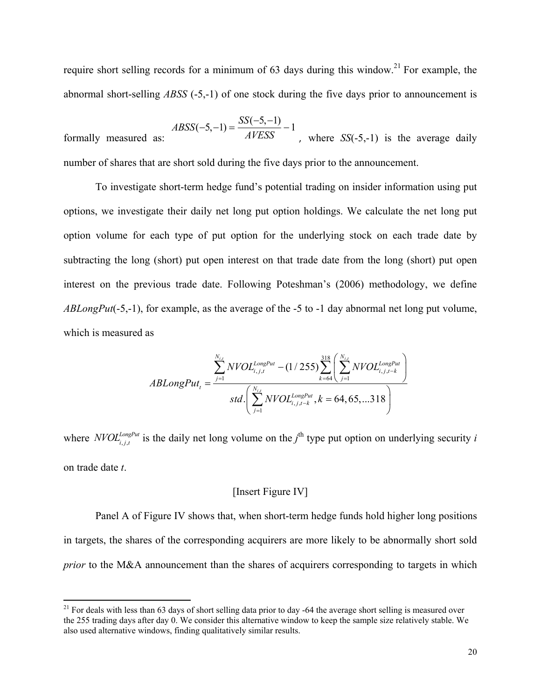require short selling records for a minimum of 63 days during this window.<sup>21</sup> For example, the abnormal short-selling *ABSS* (-5,-1) of one stock during the five days prior to announcement is

$$
ABSS(-5,-1) = \frac{SS(-5,-1)}{AVESS} - 1
$$
, where  $SS(-5,-1)$  is the average daily number of shares that are short sold during the five days prior to the announcement.

To investigate short-term hedge fund's potential trading on insider information using put options, we investigate their daily net long put option holdings. We calculate the net long put option volume for each type of put option for the underlying stock on each trade date by subtracting the long (short) put open interest on that trade date from the long (short) put open interest on the previous trade date. Following Poteshman's (2006) methodology, we define *ABLongPut*(-5,-1), for example, as the average of the -5 to -1 day abnormal net long put volume, which is measured as

$$
ABLongPut_{t} = \frac{\sum_{j=1}^{N_{i,t}} NVOL_{i,j,t}^{LongPut} - (1/255) \sum_{k=64}^{318} \left( \sum_{j=1}^{N_{i,t}} NVOL_{i,j,t-k}^{LongPut} \right)}{std \cdot \left( \sum_{j=1}^{N_{i,t}} NVOL_{i,j,t-k}^{longPut}, k=64,65,...318 \right)}
$$

where  $NVOL_{i,j,t}^{LongPut}$  is the daily net long volume on the *j*<sup>th</sup> type put option on underlying security *i* on trade date *t*.

## [Insert Figure IV]

Panel A of Figure IV shows that, when short-term hedge funds hold higher long positions in targets, the shares of the corresponding acquirers are more likely to be abnormally short sold *prior* to the M&A announcement than the shares of acquirers corresponding to targets in which

 $21$  For deals with less than 63 days of short selling data prior to day -64 the average short selling is measured over the 255 trading days after day 0. We consider this alternative window to keep the sample size relatively stable. We also used alternative windows, finding qualitatively similar results.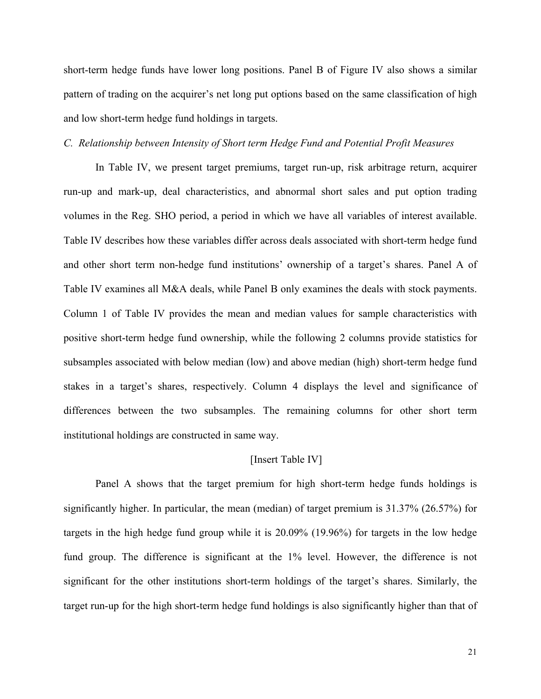short-term hedge funds have lower long positions. Panel B of Figure IV also shows a similar pattern of trading on the acquirer's net long put options based on the same classification of high and low short-term hedge fund holdings in targets.

#### *C. Relationship between Intensity of Short term Hedge Fund and Potential Profit Measures*

In Table IV, we present target premiums, target run-up, risk arbitrage return, acquirer run-up and mark-up, deal characteristics, and abnormal short sales and put option trading volumes in the Reg. SHO period, a period in which we have all variables of interest available. Table IV describes how these variables differ across deals associated with short-term hedge fund and other short term non-hedge fund institutions' ownership of a target's shares. Panel A of Table IV examines all M&A deals, while Panel B only examines the deals with stock payments. Column 1 of Table IV provides the mean and median values for sample characteristics with positive short-term hedge fund ownership, while the following 2 columns provide statistics for subsamples associated with below median (low) and above median (high) short-term hedge fund stakes in a target's shares, respectively. Column 4 displays the level and significance of differences between the two subsamples. The remaining columns for other short term institutional holdings are constructed in same way.

#### [Insert Table IV]

Panel A shows that the target premium for high short-term hedge funds holdings is significantly higher. In particular, the mean (median) of target premium is 31.37% (26.57%) for targets in the high hedge fund group while it is 20.09% (19.96%) for targets in the low hedge fund group. The difference is significant at the 1% level. However, the difference is not significant for the other institutions short-term holdings of the target's shares. Similarly, the target run-up for the high short-term hedge fund holdings is also significantly higher than that of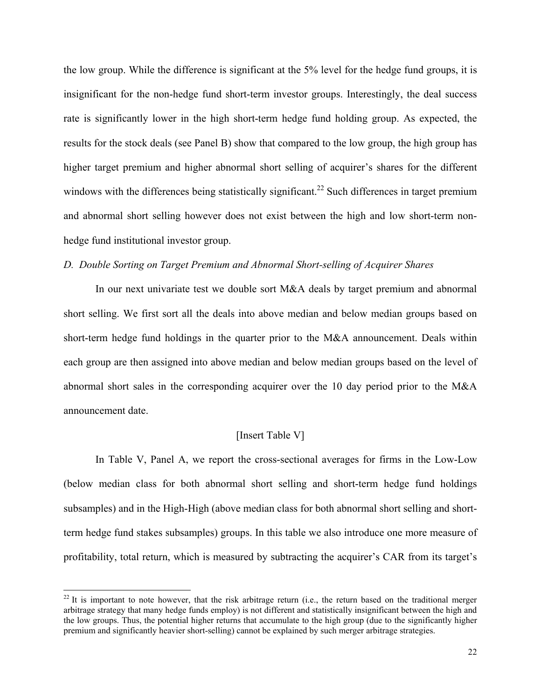the low group. While the difference is significant at the 5% level for the hedge fund groups, it is insignificant for the non-hedge fund short-term investor groups. Interestingly, the deal success rate is significantly lower in the high short-term hedge fund holding group. As expected, the results for the stock deals (see Panel B) show that compared to the low group, the high group has higher target premium and higher abnormal short selling of acquirer's shares for the different windows with the differences being statistically significant.<sup>22</sup> Such differences in target premium and abnormal short selling however does not exist between the high and low short-term nonhedge fund institutional investor group.

#### *D. Double Sorting on Target Premium and Abnormal Short-selling of Acquirer Shares*

In our next univariate test we double sort M&A deals by target premium and abnormal short selling. We first sort all the deals into above median and below median groups based on short-term hedge fund holdings in the quarter prior to the M&A announcement. Deals within each group are then assigned into above median and below median groups based on the level of abnormal short sales in the corresponding acquirer over the 10 day period prior to the M&A announcement date.

#### [Insert Table V]

In Table V, Panel A, we report the cross-sectional averages for firms in the Low-Low (below median class for both abnormal short selling and short-term hedge fund holdings subsamples) and in the High-High (above median class for both abnormal short selling and shortterm hedge fund stakes subsamples) groups. In this table we also introduce one more measure of profitability, total return, which is measured by subtracting the acquirer's CAR from its target's

 $^{22}$  It is important to note however, that the risk arbitrage return (i.e., the return based on the traditional merger arbitrage strategy that many hedge funds employ) is not different and statistically insignificant between the high and the low groups. Thus, the potential higher returns that accumulate to the high group (due to the significantly higher premium and significantly heavier short-selling) cannot be explained by such merger arbitrage strategies.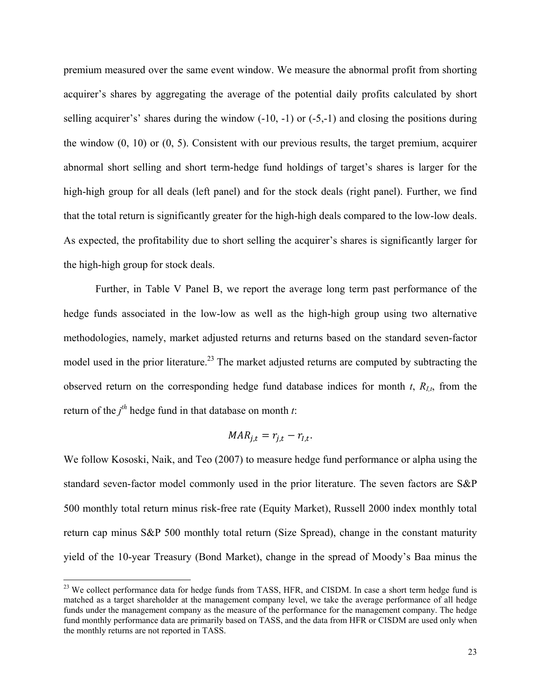premium measured over the same event window. We measure the abnormal profit from shorting acquirer's shares by aggregating the average of the potential daily profits calculated by short selling acquirer's' shares during the window (-10, -1) or (-5,-1) and closing the positions during the window (0, 10) or (0, 5). Consistent with our previous results, the target premium, acquirer abnormal short selling and short term-hedge fund holdings of target's shares is larger for the high-high group for all deals (left panel) and for the stock deals (right panel). Further, we find that the total return is significantly greater for the high-high deals compared to the low-low deals. As expected, the profitability due to short selling the acquirer's shares is significantly larger for the high-high group for stock deals.

Further, in Table V Panel B, we report the average long term past performance of the hedge funds associated in the low-low as well as the high-high group using two alternative methodologies, namely, market adjusted returns and returns based on the standard seven-factor model used in the prior literature.<sup>23</sup> The market adjusted returns are computed by subtracting the observed return on the corresponding hedge fund database indices for month *t*, *RI,t*, from the return of the  $j<sup>th</sup>$  hedge fund in that database on month *t*:

$$
MAR_{j,t} = r_{j,t} - r_{I,t}.
$$

We follow Kososki, Naik, and Teo (2007) to measure hedge fund performance or alpha using the standard seven-factor model commonly used in the prior literature. The seven factors are S&P 500 monthly total return minus risk-free rate (Equity Market), Russell 2000 index monthly total return cap minus S&P 500 monthly total return (Size Spread), change in the constant maturity yield of the 10-year Treasury (Bond Market), change in the spread of Moody's Baa minus the

<sup>&</sup>lt;sup>23</sup> We collect performance data for hedge funds from TASS, HFR, and CISDM. In case a short term hedge fund is matched as a target shareholder at the management company level, we take the average performance of all hedge funds under the management company as the measure of the performance for the management company. The hedge fund monthly performance data are primarily based on TASS, and the data from HFR or CISDM are used only when the monthly returns are not reported in TASS.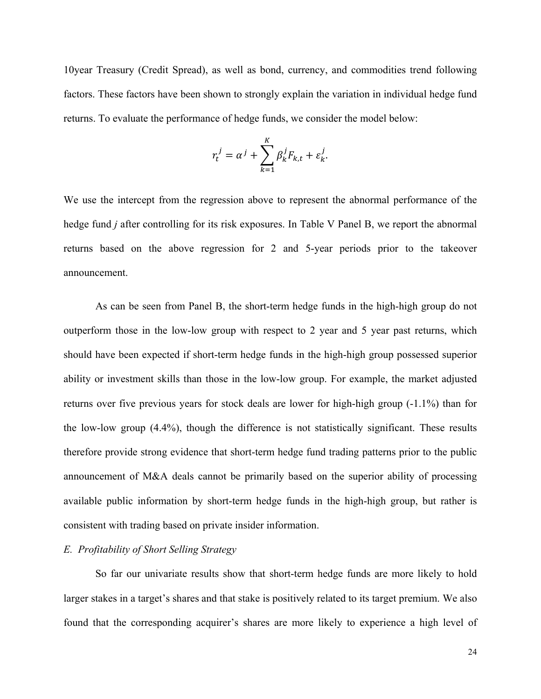10year Treasury (Credit Spread), as well as bond, currency, and commodities trend following factors. These factors have been shown to strongly explain the variation in individual hedge fund returns. To evaluate the performance of hedge funds, we consider the model below:

$$
r_t^j = \alpha^j + \sum_{k=1}^K \beta_k^j F_{k,t} + \varepsilon_k^j.
$$

We use the intercept from the regression above to represent the abnormal performance of the hedge fund *j* after controlling for its risk exposures. In Table V Panel B, we report the abnormal returns based on the above regression for 2 and 5-year periods prior to the takeover announcement.

As can be seen from Panel B, the short-term hedge funds in the high-high group do not outperform those in the low-low group with respect to 2 year and 5 year past returns, which should have been expected if short-term hedge funds in the high-high group possessed superior ability or investment skills than those in the low-low group. For example, the market adjusted returns over five previous years for stock deals are lower for high-high group (-1.1%) than for the low-low group (4.4%), though the difference is not statistically significant. These results therefore provide strong evidence that short-term hedge fund trading patterns prior to the public announcement of M&A deals cannot be primarily based on the superior ability of processing available public information by short-term hedge funds in the high-high group, but rather is consistent with trading based on private insider information.

## *E. Profitability of Short Selling Strategy*

So far our univariate results show that short-term hedge funds are more likely to hold larger stakes in a target's shares and that stake is positively related to its target premium. We also found that the corresponding acquirer's shares are more likely to experience a high level of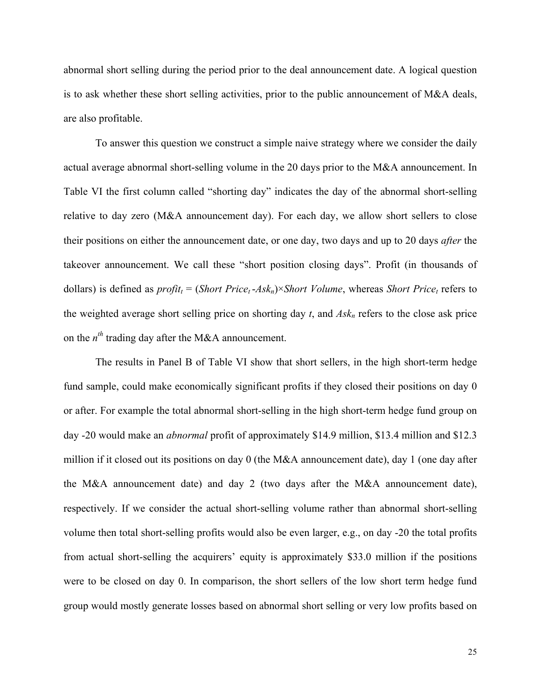abnormal short selling during the period prior to the deal announcement date. A logical question is to ask whether these short selling activities, prior to the public announcement of M&A deals, are also profitable.

To answer this question we construct a simple naive strategy where we consider the daily actual average abnormal short-selling volume in the 20 days prior to the M&A announcement. In Table VI the first column called "shorting day" indicates the day of the abnormal short-selling relative to day zero (M&A announcement day). For each day, we allow short sellers to close their positions on either the announcement date, or one day, two days and up to 20 days *after* the takeover announcement. We call these "short position closing days". Profit (in thousands of dollars) is defined as  $profit_t = (Short Price_t - Ask_n) \times Short Volume$ , whereas *Short Price<sub>t</sub>* refers to the weighted average short selling price on shorting day  $t$ , and  $Ask_n$  refers to the close ask price on the  $n^{th}$  trading day after the M&A announcement.

The results in Panel B of Table VI show that short sellers, in the high short-term hedge fund sample, could make economically significant profits if they closed their positions on day 0 or after. For example the total abnormal short-selling in the high short-term hedge fund group on day -20 would make an *abnormal* profit of approximately \$14.9 million, \$13.4 million and \$12.3 million if it closed out its positions on day 0 (the M&A announcement date), day 1 (one day after the M&A announcement date) and day 2 (two days after the M&A announcement date), respectively. If we consider the actual short-selling volume rather than abnormal short-selling volume then total short-selling profits would also be even larger, e.g., on day -20 the total profits from actual short-selling the acquirers' equity is approximately \$33.0 million if the positions were to be closed on day 0. In comparison, the short sellers of the low short term hedge fund group would mostly generate losses based on abnormal short selling or very low profits based on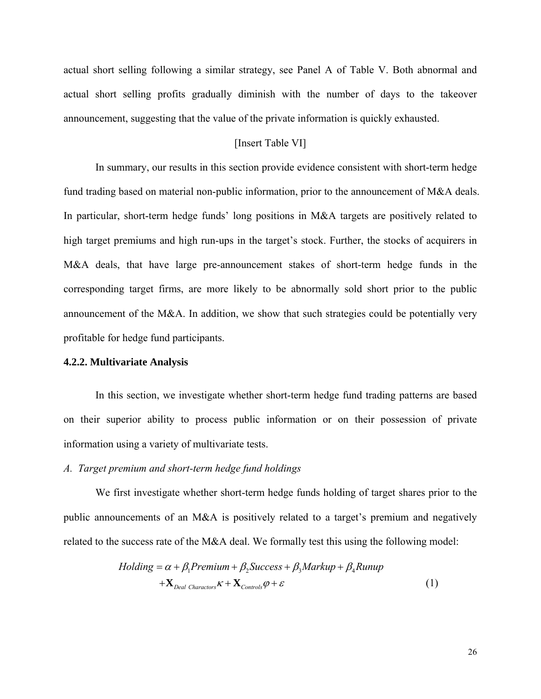actual short selling following a similar strategy, see Panel A of Table V. Both abnormal and actual short selling profits gradually diminish with the number of days to the takeover announcement, suggesting that the value of the private information is quickly exhausted.

#### [Insert Table VI]

In summary, our results in this section provide evidence consistent with short-term hedge fund trading based on material non-public information, prior to the announcement of M&A deals. In particular, short-term hedge funds' long positions in M&A targets are positively related to high target premiums and high run-ups in the target's stock. Further, the stocks of acquirers in M&A deals, that have large pre-announcement stakes of short-term hedge funds in the corresponding target firms, are more likely to be abnormally sold short prior to the public announcement of the M&A. In addition, we show that such strategies could be potentially very profitable for hedge fund participants.

#### **4.2.2. Multivariate Analysis**

In this section, we investigate whether short-term hedge fund trading patterns are based on their superior ability to process public information or on their possession of private information using a variety of multivariate tests.

## *A. Target premium and short-term hedge fund holdings*

We first investigate whether short-term hedge funds holding of target shares prior to the public announcements of an M&A is positively related to a target's premium and negatively related to the success rate of the M&A deal. We formally test this using the following model:

$$
Holding = \alpha + \beta_1 Premium + \beta_2 Success + \beta_3Markup + \beta_4 Runup
$$
  
+ $\mathbf{X}_{Deal \; Characteristics} \kappa + \mathbf{X}_{\text{Controls}} \varphi + \varepsilon$  (1)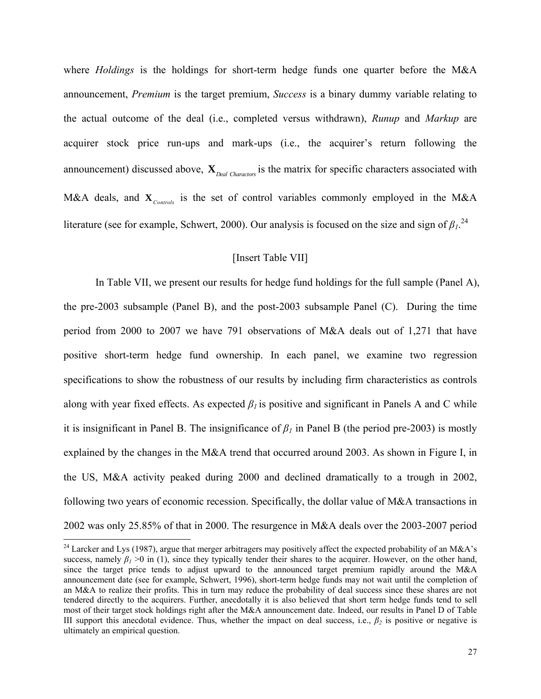where *Holdings* is the holdings for short-term hedge funds one quarter before the M&A announcement, *Premium* is the target premium, *Success* is a binary dummy variable relating to the actual outcome of the deal (i.e., completed versus withdrawn), *Runup* and *Markup* are acquirer stock price run-ups and mark-ups (i.e., the acquirer's return following the announcement) discussed above,  $\mathbf{X}_{\text{Dead Charactors}}$  is the matrix for specific characters associated with M&A deals, and  $\mathbf{X}_{\text{Controls}}$  is the set of control variables commonly employed in the M&A literature (see for example, Schwert, 2000). Our analysis is focused on the size and sign of  $\beta_L$ <sup>24</sup>

## [Insert Table VII]

In Table VII, we present our results for hedge fund holdings for the full sample (Panel A), the pre-2003 subsample (Panel B), and the post-2003 subsample Panel (C). During the time period from 2000 to 2007 we have 791 observations of M&A deals out of 1,271 that have positive short-term hedge fund ownership. In each panel, we examine two regression specifications to show the robustness of our results by including firm characteristics as controls along with year fixed effects. As expected *β1* is positive and significant in Panels A and C while it is insignificant in Panel B. The insignificance of  $\beta_l$  in Panel B (the period pre-2003) is mostly explained by the changes in the M&A trend that occurred around 2003. As shown in Figure I, in the US, M&A activity peaked during 2000 and declined dramatically to a trough in 2002, following two years of economic recession. Specifically, the dollar value of M&A transactions in 2002 was only 25.85% of that in 2000. The resurgence in M&A deals over the 2003-2007 period

<sup>&</sup>lt;sup>24</sup> Larcker and Lys (1987), argue that merger arbitragers may positively affect the expected probability of an M&A's success, namely  $\beta_l > 0$  in (1), since they typically tender their shares to the acquirer. However, on the other hand, since the target price tends to adjust upward to the announced target premium rapidly around the M&A announcement date (see for example, Schwert, 1996), short-term hedge funds may not wait until the completion of an M&A to realize their profits. This in turn may reduce the probability of deal success since these shares are not tendered directly to the acquirers. Further, anecdotally it is also believed that short term hedge funds tend to sell most of their target stock holdings right after the M&A announcement date. Indeed, our results in Panel D of Table III support this anecdotal evidence. Thus, whether the impact on deal success, i.e., *β<sup>2</sup>* is positive or negative is ultimately an empirical question.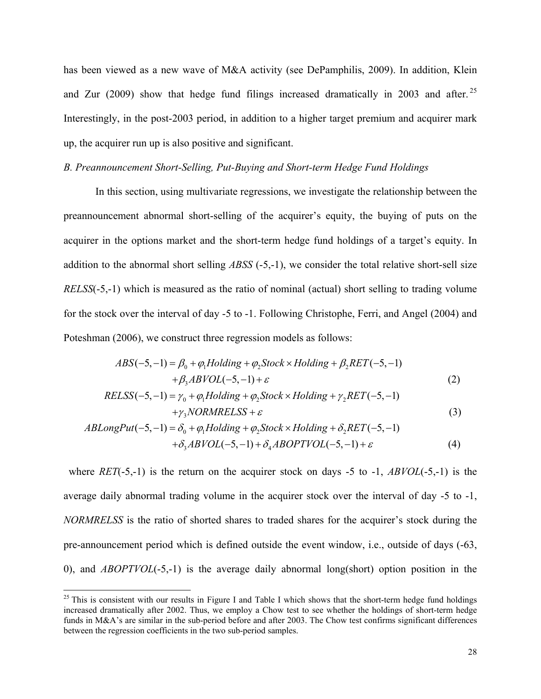has been viewed as a new wave of M&A activity (see DePamphilis, 2009). In addition, Klein and Zur (2009) show that hedge fund filings increased dramatically in 2003 and after.<sup>25</sup> Interestingly, in the post-2003 period, in addition to a higher target premium and acquirer mark up, the acquirer run up is also positive and significant.

#### *B. Preannouncement Short-Selling, Put-Buying and Short-term Hedge Fund Holdings*

In this section, using multivariate regressions, we investigate the relationship between the preannouncement abnormal short-selling of the acquirer's equity, the buying of puts on the acquirer in the options market and the short-term hedge fund holdings of a target's equity. In addition to the abnormal short selling *ABSS* (-5,-1), we consider the total relative short-sell size *RELSS*(-5,-1) which is measured as the ratio of nominal (actual) short selling to trading volume for the stock over the interval of day -5 to -1. Following Christophe, Ferri, and Angel (2004) and Poteshman (2006), we construct three regression models as follows:

$$
ABS(-5,-1) = \beta_0 + \varphi_1 Holding + \varphi_2 Stock \times Holding + \beta_2 RET(-5,-1)
$$
  
+  $\beta_3 ABVOL(-5,-1) + \varepsilon$  (2)  
RELSS(-5,-1) =  $\gamma_0 + \varphi_1 Holding + \varphi_2 Stock \times Holding + \gamma_2 RET(-5,-1)$   
+  $\gamma_3 NORMRELSS + \varepsilon$  (3)  
ABLongPut(-5,-1) =  $\delta_0 + \varphi_1 Holding + \varphi_2 Stock \times Holding + \delta_2 RET(-5,-1)$   
+  $\delta_3 ABVOL(-5,-1) + \delta_4 ABOPTVOL(-5,-1) + \varepsilon$  (4)

where *RET*(-5,-1) is the return on the acquirer stock on days -5 to -1, *ABVOL*(-5,-1) is the average daily abnormal trading volume in the acquirer stock over the interval of day -5 to -1, *NORMRELSS* is the ratio of shorted shares to traded shares for the acquirer's stock during the pre-announcement period which is defined outside the event window, i.e., outside of days (-63, 0), and *ABOPTVOL*(-5,-1) is the average daily abnormal long(short) option position in the

 $^{25}$  This is consistent with our results in Figure I and Table I which shows that the short-term hedge fund holdings increased dramatically after 2002. Thus, we employ a Chow test to see whether the holdings of short-term hedge funds in M&A's are similar in the sub-period before and after 2003. The Chow test confirms significant differences between the regression coefficients in the two sub-period samples.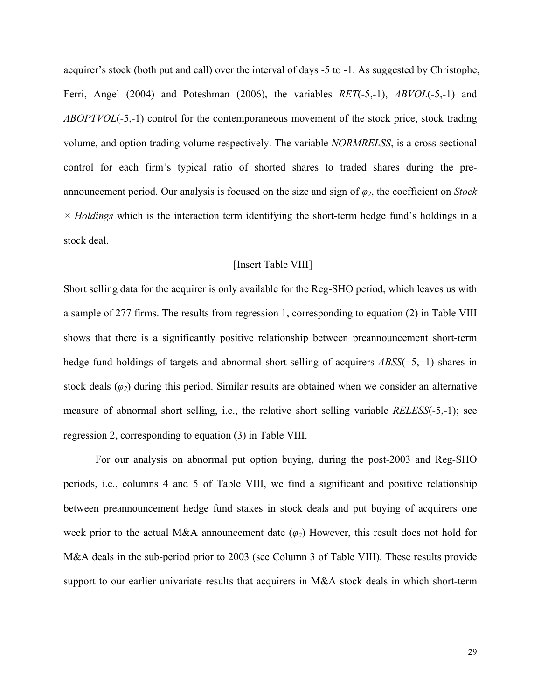acquirer's stock (both put and call) over the interval of days -5 to -1. As suggested by Christophe, Ferri, Angel (2004) and Poteshman (2006), the variables *RET*(-5,-1), *ABVOL*(-5,-1) and *ABOPTVOL*(-5,-1) control for the contemporaneous movement of the stock price, stock trading volume, and option trading volume respectively. The variable *NORMRELSS*, is a cross sectional control for each firm's typical ratio of shorted shares to traded shares during the preannouncement period. Our analysis is focused on the size and sign of *φ2*, the coefficient on *Stock × Holdings* which is the interaction term identifying the short-term hedge fund's holdings in a stock deal.

#### [Insert Table VIII]

Short selling data for the acquirer is only available for the Reg-SHO period, which leaves us with a sample of 277 firms. The results from regression 1, corresponding to equation (2) in Table VIII shows that there is a significantly positive relationship between preannouncement short-term hedge fund holdings of targets and abnormal short-selling of acquirers *ABSS*(−5,−1) shares in stock deals (*φ2*) during this period. Similar results are obtained when we consider an alternative measure of abnormal short selling, i.e., the relative short selling variable *RELESS*(-5,-1); see regression 2, corresponding to equation (3) in Table VIII.

 For our analysis on abnormal put option buying, during the post-2003 and Reg-SHO periods, i.e., columns 4 and 5 of Table VIII, we find a significant and positive relationship between preannouncement hedge fund stakes in stock deals and put buying of acquirers one week prior to the actual M&A announcement date (*φ2*) However, this result does not hold for M&A deals in the sub-period prior to 2003 (see Column 3 of Table VIII). These results provide support to our earlier univariate results that acquirers in M&A stock deals in which short-term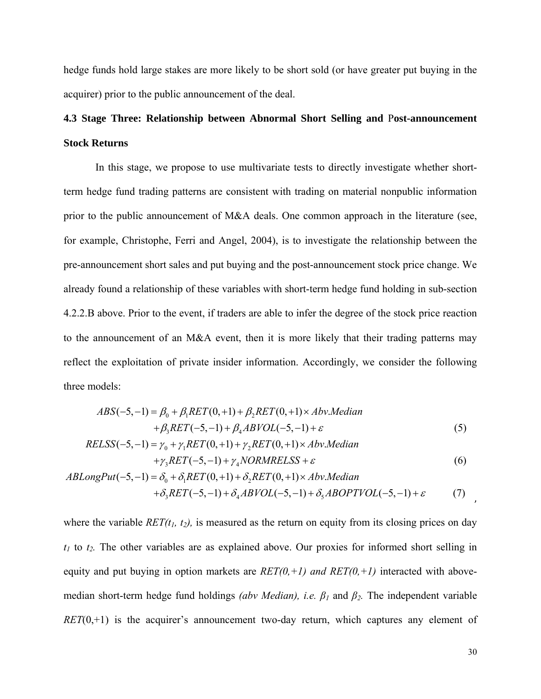hedge funds hold large stakes are more likely to be short sold (or have greater put buying in the acquirer) prior to the public announcement of the deal.

# **4.3 Stage Three: Relationship between Abnormal Short Selling and** P**ost-announcement Stock Returns**

 In this stage, we propose to use multivariate tests to directly investigate whether shortterm hedge fund trading patterns are consistent with trading on material nonpublic information prior to the public announcement of M&A deals. One common approach in the literature (see, for example, Christophe, Ferri and Angel, 2004), is to investigate the relationship between the pre-announcement short sales and put buying and the post-announcement stock price change. We already found a relationship of these variables with short-term hedge fund holding in sub-section 4.2.2.B above. Prior to the event, if traders are able to infer the degree of the stock price reaction to the announcement of an M&A event, then it is more likely that their trading patterns may reflect the exploitation of private insider information. Accordingly, we consider the following three models:

$$
ABS(-5,-1) = \beta_0 + \beta_1 RET(0,+1) + \beta_2RET(0,+1) \times Abv.Median
$$
  
+  $\beta_3RET(-5,-1) + \beta_4ABVOL(-5,-1) + \varepsilon$   
RELSS(-5,-1) =  $\gamma_0 + \gamma_1RET(0,+1) + \gamma_2RET(0,+1) \times Abv.Median$  (5)

$$
+\gamma_3 RET(-5,-1) + \gamma_4 NORMALSS + \varepsilon\tag{6}
$$

$$
ABLongPut(-5,-1) = \delta_0 + \delta_1 RET(0,+1) + \delta_2RET(0,+1) \times Abv.Median
$$
  
+  $\delta_3RET(-5,-1) + \delta_4ABVOL(-5,-1) + \delta_5ABOPTVOL(-5,-1) + \varepsilon$  (7)

where the variable  $RET(t_1, t_2)$ , is measured as the return on equity from its closing prices on day  $t_1$  to  $t_2$ . The other variables are as explained above. Our proxies for informed short selling in equity and put buying in option markets are *RET(0,+1) and RET(0,+1)* interacted with abovemedian short-term hedge fund holdings *(abv Median), i.e. β<sup>1</sup>* and *β2.* The independent variable *RET*(0,+1) is the acquirer's announcement two-day return, which captures any element of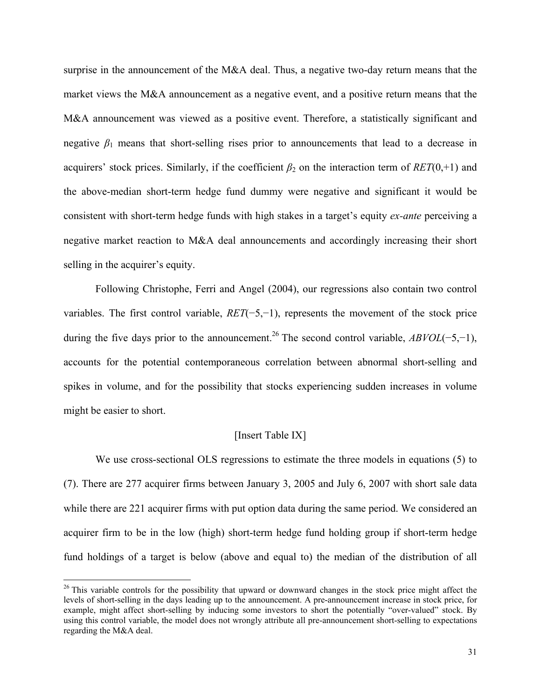surprise in the announcement of the M&A deal. Thus, a negative two-day return means that the market views the M&A announcement as a negative event, and a positive return means that the M&A announcement was viewed as a positive event. Therefore, a statistically significant and negative  $\beta_1$  means that short-selling rises prior to announcements that lead to a decrease in acquirers' stock prices. Similarly, if the coefficient  $\beta_2$  on the interaction term of  $RET(0, +1)$  and the above-median short-term hedge fund dummy were negative and significant it would be consistent with short-term hedge funds with high stakes in a target's equity *ex-ante* perceiving a negative market reaction to M&A deal announcements and accordingly increasing their short selling in the acquirer's equity.

Following Christophe, Ferri and Angel (2004), our regressions also contain two control variables. The first control variable, *RET*(−5,−1), represents the movement of the stock price during the five days prior to the announcement.<sup>26</sup> The second control variable,  $ABVOL(-5,-1)$ , accounts for the potential contemporaneous correlation between abnormal short-selling and spikes in volume, and for the possibility that stocks experiencing sudden increases in volume might be easier to short.

#### [Insert Table IX]

 We use cross-sectional OLS regressions to estimate the three models in equations (5) to (7). There are 277 acquirer firms between January 3, 2005 and July 6, 2007 with short sale data while there are 221 acquirer firms with put option data during the same period. We considered an acquirer firm to be in the low (high) short-term hedge fund holding group if short-term hedge fund holdings of a target is below (above and equal to) the median of the distribution of all

<sup>&</sup>lt;sup>26</sup> This variable controls for the possibility that upward or downward changes in the stock price might affect the levels of short-selling in the days leading up to the announcement. A pre-announcement increase in stock price, for example, might affect short-selling by inducing some investors to short the potentially "over-valued" stock. By using this control variable, the model does not wrongly attribute all pre-announcement short-selling to expectations regarding the M&A deal.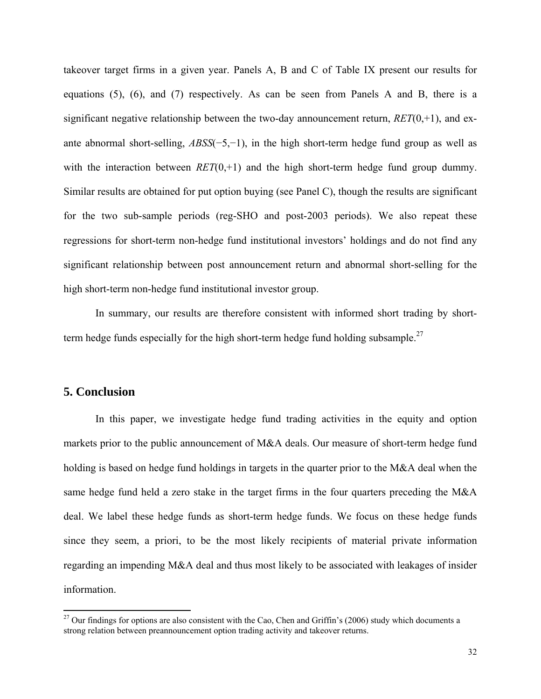takeover target firms in a given year. Panels A, B and C of Table IX present our results for equations (5), (6), and (7) respectively. As can be seen from Panels A and B, there is a significant negative relationship between the two-day announcement return, *RET*(0,+1), and exante abnormal short-selling, *ABSS*(−5,−1), in the high short-term hedge fund group as well as with the interaction between  $RET(0, +1)$  and the high short-term hedge fund group dummy. Similar results are obtained for put option buying (see Panel C), though the results are significant for the two sub-sample periods (reg-SHO and post-2003 periods). We also repeat these regressions for short-term non-hedge fund institutional investors' holdings and do not find any significant relationship between post announcement return and abnormal short-selling for the high short-term non-hedge fund institutional investor group.

 In summary, our results are therefore consistent with informed short trading by shortterm hedge funds especially for the high short-term hedge fund holding subsample.<sup>27</sup>

## **5. Conclusion**

In this paper, we investigate hedge fund trading activities in the equity and option markets prior to the public announcement of M&A deals. Our measure of short-term hedge fund holding is based on hedge fund holdings in targets in the quarter prior to the M&A deal when the same hedge fund held a zero stake in the target firms in the four quarters preceding the M&A deal. We label these hedge funds as short-term hedge funds. We focus on these hedge funds since they seem, a priori, to be the most likely recipients of material private information regarding an impending M&A deal and thus most likely to be associated with leakages of insider information.

 $^{27}$  Our findings for options are also consistent with the Cao, Chen and Griffin's (2006) study which documents a strong relation between preannouncement option trading activity and takeover returns.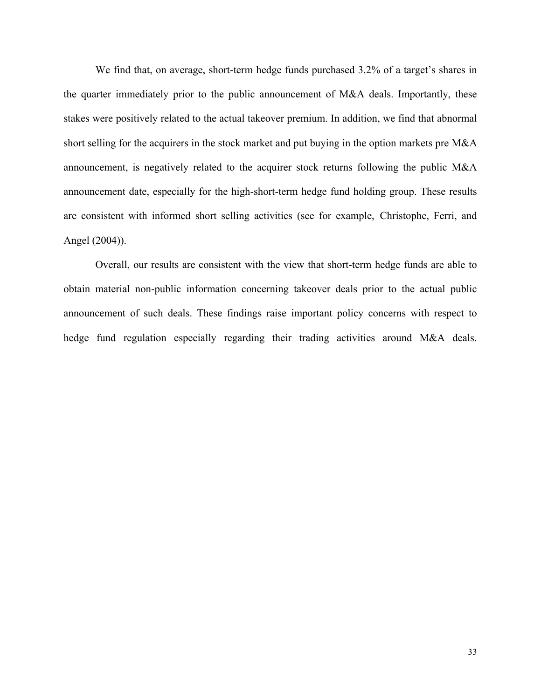We find that, on average, short-term hedge funds purchased 3.2% of a target's shares in the quarter immediately prior to the public announcement of M&A deals. Importantly, these stakes were positively related to the actual takeover premium. In addition, we find that abnormal short selling for the acquirers in the stock market and put buying in the option markets pre M&A announcement, is negatively related to the acquirer stock returns following the public M&A announcement date, especially for the high-short-term hedge fund holding group. These results are consistent with informed short selling activities (see for example, Christophe, Ferri, and Angel (2004)).

Overall, our results are consistent with the view that short-term hedge funds are able to obtain material non-public information concerning takeover deals prior to the actual public announcement of such deals. These findings raise important policy concerns with respect to hedge fund regulation especially regarding their trading activities around M&A deals.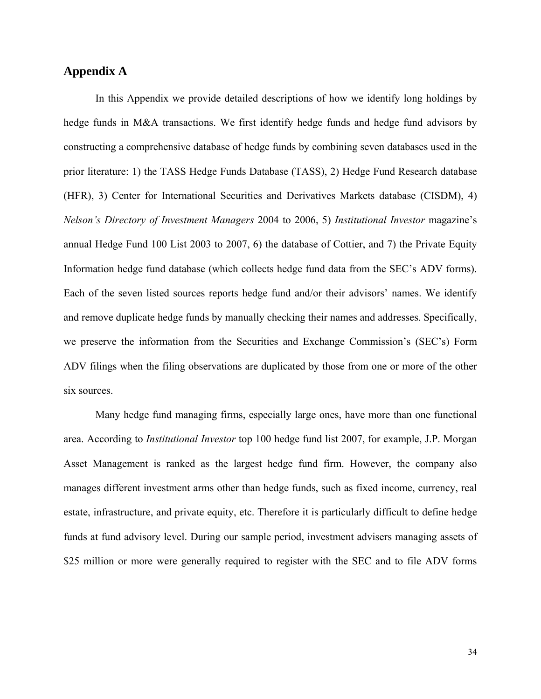## **Appendix A**

In this Appendix we provide detailed descriptions of how we identify long holdings by hedge funds in M&A transactions. We first identify hedge funds and hedge fund advisors by constructing a comprehensive database of hedge funds by combining seven databases used in the prior literature: 1) the TASS Hedge Funds Database (TASS), 2) Hedge Fund Research database (HFR), 3) Center for International Securities and Derivatives Markets database (CISDM), 4) *Nelson's Directory of Investment Managers* 2004 to 2006, 5) *Institutional Investor* magazine's annual Hedge Fund 100 List 2003 to 2007, 6) the database of Cottier, and 7) the Private Equity Information hedge fund database (which collects hedge fund data from the SEC's ADV forms). Each of the seven listed sources reports hedge fund and/or their advisors' names. We identify and remove duplicate hedge funds by manually checking their names and addresses. Specifically, we preserve the information from the Securities and Exchange Commission's (SEC's) Form ADV filings when the filing observations are duplicated by those from one or more of the other six sources.

Many hedge fund managing firms, especially large ones, have more than one functional area. According to *Institutional Investor* top 100 hedge fund list 2007, for example, J.P. Morgan Asset Management is ranked as the largest hedge fund firm. However, the company also manages different investment arms other than hedge funds, such as fixed income, currency, real estate, infrastructure, and private equity, etc. Therefore it is particularly difficult to define hedge funds at fund advisory level. During our sample period, investment advisers managing assets of \$25 million or more were generally required to register with the SEC and to file ADV forms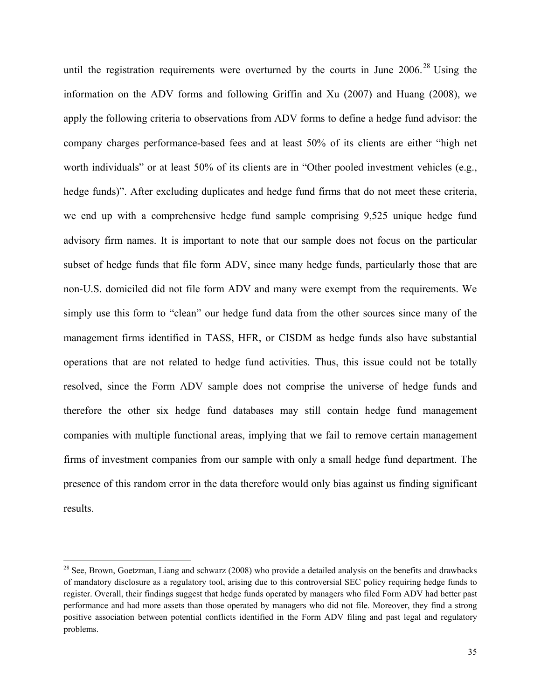until the registration requirements were overturned by the courts in June  $2006$ <sup>28</sup> Using the information on the ADV forms and following Griffin and Xu (2007) and Huang (2008), we apply the following criteria to observations from ADV forms to define a hedge fund advisor: the company charges performance-based fees and at least 50% of its clients are either "high net worth individuals" or at least 50% of its clients are in "Other pooled investment vehicles (e.g., hedge funds)". After excluding duplicates and hedge fund firms that do not meet these criteria, we end up with a comprehensive hedge fund sample comprising 9,525 unique hedge fund advisory firm names. It is important to note that our sample does not focus on the particular subset of hedge funds that file form ADV, since many hedge funds, particularly those that are non-U.S. domiciled did not file form ADV and many were exempt from the requirements. We simply use this form to "clean" our hedge fund data from the other sources since many of the management firms identified in TASS, HFR, or CISDM as hedge funds also have substantial operations that are not related to hedge fund activities. Thus, this issue could not be totally resolved, since the Form ADV sample does not comprise the universe of hedge funds and therefore the other six hedge fund databases may still contain hedge fund management companies with multiple functional areas, implying that we fail to remove certain management firms of investment companies from our sample with only a small hedge fund department. The presence of this random error in the data therefore would only bias against us finding significant results.

 $28$  See, Brown, Goetzman, Liang and schwarz (2008) who provide a detailed analysis on the benefits and drawbacks of mandatory disclosure as a regulatory tool, arising due to this controversial SEC policy requiring hedge funds to register. Overall, their findings suggest that hedge funds operated by managers who filed Form ADV had better past performance and had more assets than those operated by managers who did not file. Moreover, they find a strong positive association between potential conflicts identified in the Form ADV filing and past legal and regulatory problems.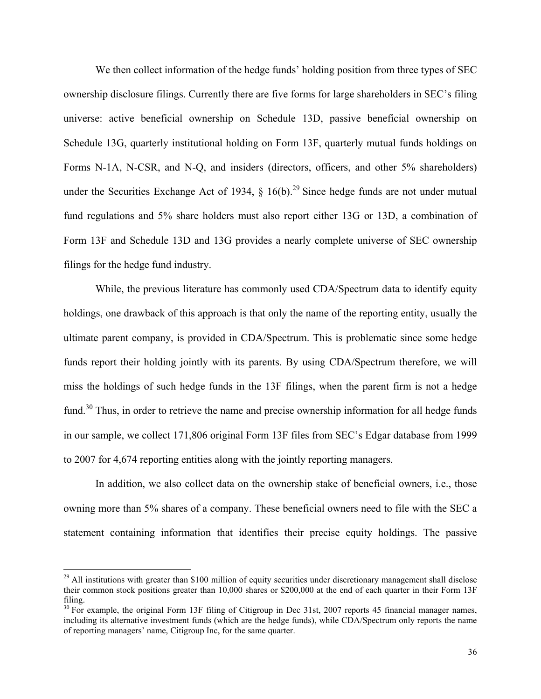We then collect information of the hedge funds' holding position from three types of SEC ownership disclosure filings. Currently there are five forms for large shareholders in SEC's filing universe: active beneficial ownership on Schedule 13D, passive beneficial ownership on Schedule 13G, quarterly institutional holding on Form 13F, quarterly mutual funds holdings on Forms N-1A, N-CSR, and N-Q, and insiders (directors, officers, and other 5% shareholders) under the Securities Exchange Act of 1934,  $\S$  16(b).<sup>29</sup> Since hedge funds are not under mutual fund regulations and 5% share holders must also report either 13G or 13D, a combination of Form 13F and Schedule 13D and 13G provides a nearly complete universe of SEC ownership filings for the hedge fund industry.

While, the previous literature has commonly used CDA/Spectrum data to identify equity holdings, one drawback of this approach is that only the name of the reporting entity, usually the ultimate parent company, is provided in CDA/Spectrum. This is problematic since some hedge funds report their holding jointly with its parents. By using CDA/Spectrum therefore, we will miss the holdings of such hedge funds in the 13F filings, when the parent firm is not a hedge fund.<sup>30</sup> Thus, in order to retrieve the name and precise ownership information for all hedge funds in our sample, we collect 171,806 original Form 13F files from SEC's Edgar database from 1999 to 2007 for 4,674 reporting entities along with the jointly reporting managers.

In addition, we also collect data on the ownership stake of beneficial owners, i.e., those owning more than 5% shares of a company. These beneficial owners need to file with the SEC a statement containing information that identifies their precise equity holdings. The passive

 $29$  All institutions with greater than \$100 million of equity securities under discretionary management shall disclose their common stock positions greater than 10,000 shares or \$200,000 at the end of each quarter in their Form 13F filing.

<sup>&</sup>lt;sup>30</sup> For example, the original Form 13F filing of Citigroup in Dec 31st, 2007 reports 45 financial manager names, including its alternative investment funds (which are the hedge funds), while CDA/Spectrum only reports the name of reporting managers' name, Citigroup Inc, for the same quarter.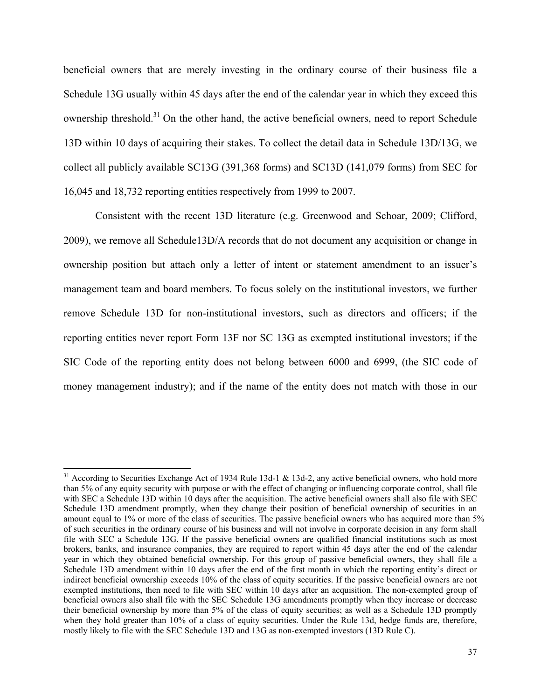beneficial owners that are merely investing in the ordinary course of their business file a Schedule 13G usually within 45 days after the end of the calendar year in which they exceed this ownership threshold.<sup>31</sup> On the other hand, the active beneficial owners, need to report Schedule 13D within 10 days of acquiring their stakes. To collect the detail data in Schedule 13D/13G, we collect all publicly available SC13G (391,368 forms) and SC13D (141,079 forms) from SEC for 16,045 and 18,732 reporting entities respectively from 1999 to 2007.

Consistent with the recent 13D literature (e.g. Greenwood and Schoar, 2009; Clifford, 2009), we remove all Schedule13D/A records that do not document any acquisition or change in ownership position but attach only a letter of intent or statement amendment to an issuer's management team and board members. To focus solely on the institutional investors, we further remove Schedule 13D for non-institutional investors, such as directors and officers; if the reporting entities never report Form 13F nor SC 13G as exempted institutional investors; if the SIC Code of the reporting entity does not belong between 6000 and 6999, (the SIC code of money management industry); and if the name of the entity does not match with those in our

<sup>&</sup>lt;sup>31</sup> According to Securities Exchange Act of 1934 Rule 13d-1 & 13d-2, any active beneficial owners, who hold more than 5% of any equity security with purpose or with the effect of changing or influencing corporate control, shall file with SEC a Schedule 13D within 10 days after the acquisition. The active beneficial owners shall also file with SEC Schedule 13D amendment promptly, when they change their position of beneficial ownership of securities in an amount equal to 1% or more of the class of securities. The passive beneficial owners who has acquired more than 5% of such securities in the ordinary course of his business and will not involve in corporate decision in any form shall file with SEC a Schedule 13G. If the passive beneficial owners are qualified financial institutions such as most brokers, banks, and insurance companies, they are required to report within 45 days after the end of the calendar year in which they obtained beneficial ownership. For this group of passive beneficial owners, they shall file a Schedule 13D amendment within 10 days after the end of the first month in which the reporting entity's direct or indirect beneficial ownership exceeds 10% of the class of equity securities. If the passive beneficial owners are not exempted institutions, then need to file with SEC within 10 days after an acquisition. The non-exempted group of beneficial owners also shall file with the SEC Schedule 13G amendments promptly when they increase or decrease their beneficial ownership by more than 5% of the class of equity securities; as well as a Schedule 13D promptly when they hold greater than 10% of a class of equity securities. Under the Rule 13d, hedge funds are, therefore, mostly likely to file with the SEC Schedule 13D and 13G as non-exempted investors (13D Rule C).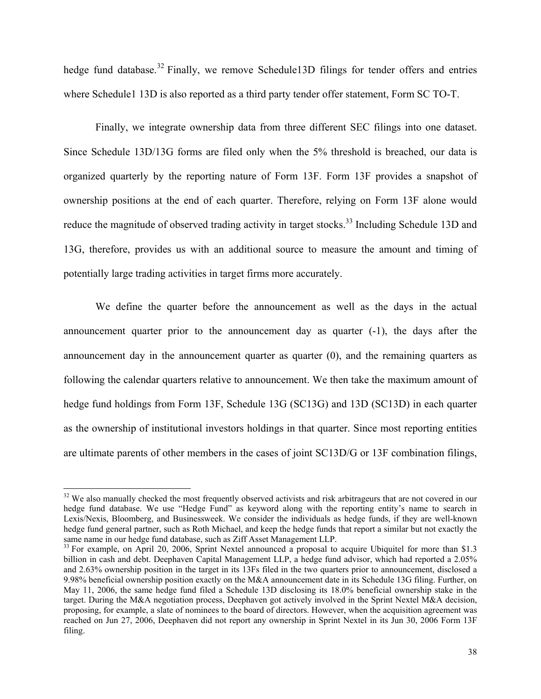hedge fund database.<sup>32</sup> Finally, we remove Schedule13D filings for tender offers and entries where Schedule1 13D is also reported as a third party tender offer statement, Form SC TO-T.

 Finally, we integrate ownership data from three different SEC filings into one dataset. Since Schedule 13D/13G forms are filed only when the 5% threshold is breached, our data is organized quarterly by the reporting nature of Form 13F. Form 13F provides a snapshot of ownership positions at the end of each quarter. Therefore, relying on Form 13F alone would reduce the magnitude of observed trading activity in target stocks.<sup>33</sup> Including Schedule 13D and 13G, therefore, provides us with an additional source to measure the amount and timing of potentially large trading activities in target firms more accurately.

 We define the quarter before the announcement as well as the days in the actual announcement quarter prior to the announcement day as quarter (-1), the days after the announcement day in the announcement quarter as quarter (0), and the remaining quarters as following the calendar quarters relative to announcement. We then take the maximum amount of hedge fund holdings from Form 13F, Schedule 13G (SC13G) and 13D (SC13D) in each quarter as the ownership of institutional investors holdings in that quarter. Since most reporting entities are ultimate parents of other members in the cases of joint SC13D/G or 13F combination filings,

<sup>&</sup>lt;sup>32</sup> We also manually checked the most frequently observed activists and risk arbitrageurs that are not covered in our hedge fund database. We use "Hedge Fund" as keyword along with the reporting entity's name to search in Lexis/Nexis, Bloomberg, and Businessweek. We consider the individuals as hedge funds, if they are well-known hedge fund general partner, such as Roth Michael, and keep the hedge funds that report a similar but not exactly the same name in our hedge fund database, such as Ziff Asset Management LLP.

<sup>&</sup>lt;sup>33</sup> For example, on April 20, 2006, Sprint Nextel announced a proposal to acquire Ubiquitel for more than \$1.3 billion in cash and debt. Deephaven Capital Management LLP, a hedge fund advisor, which had reported a 2.05% and 2.63% ownership position in the target in its 13Fs filed in the two quarters prior to announcement, disclosed a 9.98% beneficial ownership position exactly on the M&A announcement date in its Schedule 13G filing. Further, on May 11, 2006, the same hedge fund filed a Schedule 13D disclosing its 18.0% beneficial ownership stake in the target. During the M&A negotiation process, Deephaven got actively involved in the Sprint Nextel M&A decision, proposing, for example, a slate of nominees to the board of directors. However, when the acquisition agreement was reached on Jun 27, 2006, Deephaven did not report any ownership in Sprint Nextel in its Jun 30, 2006 Form 13F filing.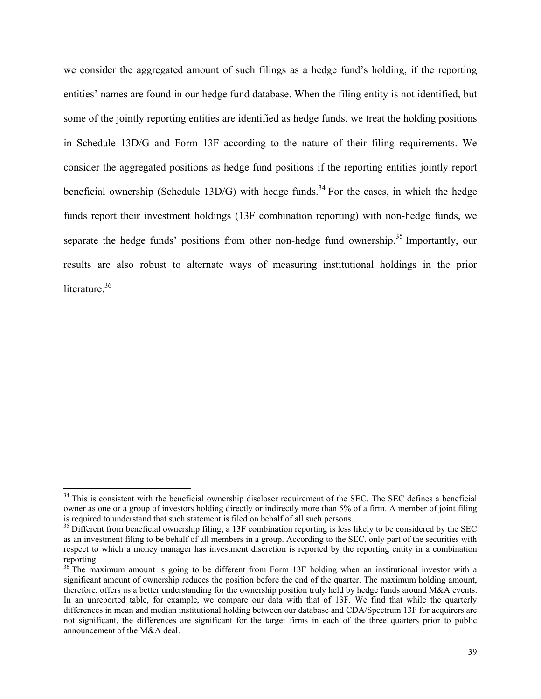we consider the aggregated amount of such filings as a hedge fund's holding, if the reporting entities' names are found in our hedge fund database. When the filing entity is not identified, but some of the jointly reporting entities are identified as hedge funds, we treat the holding positions in Schedule 13D/G and Form 13F according to the nature of their filing requirements. We consider the aggregated positions as hedge fund positions if the reporting entities jointly report beneficial ownership (Schedule 13D/G) with hedge funds.<sup>34</sup> For the cases, in which the hedge funds report their investment holdings (13F combination reporting) with non-hedge funds, we separate the hedge funds' positions from other non-hedge fund ownership.<sup>35</sup> Importantly, our results are also robust to alternate ways of measuring institutional holdings in the prior literature<sup>36</sup>

<sup>&</sup>lt;sup>34</sup> This is consistent with the beneficial ownership discloser requirement of the SEC. The SEC defines a beneficial owner as one or a group of investors holding directly or indirectly more than 5% of a firm. A member of joint filing is required to understand that such statement is filed on behalf of all such persons.<br><sup>35</sup> Different from beneficial ownership filing, a 13F combination reporting is less likely to be considered by the SEC

as an investment filing to be behalf of all members in a group. According to the SEC, only part of the securities with respect to which a money manager has investment discretion is reported by the reporting entity in a combination reporting.

<sup>&</sup>lt;sup>36</sup> The maximum amount is going to be different from Form 13F holding when an institutional investor with a significant amount of ownership reduces the position before the end of the quarter. The maximum holding amount, therefore, offers us a better understanding for the ownership position truly held by hedge funds around M&A events. In an unreported table, for example, we compare our data with that of 13F. We find that while the quarterly differences in mean and median institutional holding between our database and CDA/Spectrum 13F for acquirers are not significant, the differences are significant for the target firms in each of the three quarters prior to public announcement of the M&A deal.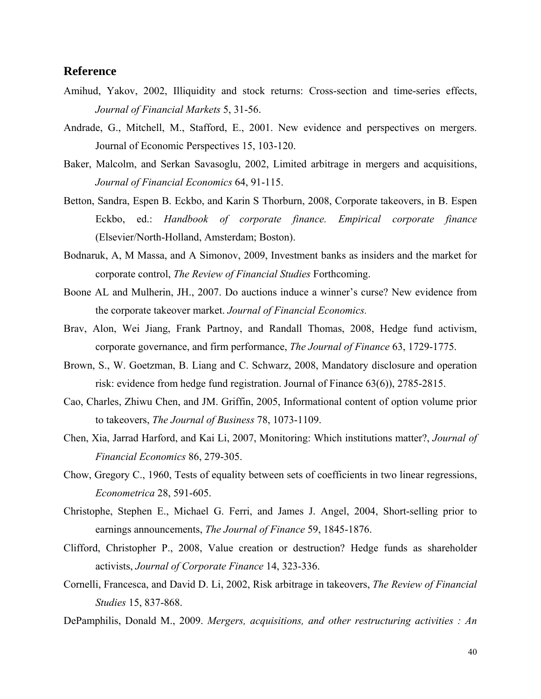## **Reference**

- Amihud, Yakov, 2002, Illiquidity and stock returns: Cross-section and time-series effects, *Journal of Financial Markets* 5, 31-56.
- Andrade, G., Mitchell, M., Stafford, E., 2001. New evidence and perspectives on mergers. Journal of Economic Perspectives 15, 103-120.
- Baker, Malcolm, and Serkan Savasoglu, 2002, Limited arbitrage in mergers and acquisitions, *Journal of Financial Economics* 64, 91-115.
- Betton, Sandra, Espen B. Eckbo, and Karin S Thorburn, 2008, Corporate takeovers, in B. Espen Eckbo, ed.: *Handbook of corporate finance. Empirical corporate finance* (Elsevier/North-Holland, Amsterdam; Boston).
- Bodnaruk, A, M Massa, and A Simonov, 2009, Investment banks as insiders and the market for corporate control, *The Review of Financial Studies* Forthcoming.
- Boone AL and Mulherin, JH., 2007. Do auctions induce a winner's curse? New evidence from the corporate takeover market. *Journal of Financial Economics.*
- Brav, Alon, Wei Jiang, Frank Partnoy, and Randall Thomas, 2008, Hedge fund activism, corporate governance, and firm performance, *The Journal of Finance* 63, 1729-1775.
- Brown, S., W. Goetzman, B. Liang and C. Schwarz, 2008, Mandatory disclosure and operation risk: evidence from hedge fund registration. Journal of Finance 63(6)), 2785-2815.
- Cao, Charles, Zhiwu Chen, and JM. Griffin, 2005, Informational content of option volume prior to takeovers, *The Journal of Business* 78, 1073-1109.
- Chen, Xia, Jarrad Harford, and Kai Li, 2007, Monitoring: Which institutions matter?, *Journal of Financial Economics* 86, 279-305.
- Chow, Gregory C., 1960, Tests of equality between sets of coefficients in two linear regressions, *Econometrica* 28, 591-605.
- Christophe, Stephen E., Michael G. Ferri, and James J. Angel, 2004, Short-selling prior to earnings announcements, *The Journal of Finance* 59, 1845-1876.
- Clifford, Christopher P., 2008, Value creation or destruction? Hedge funds as shareholder activists, *Journal of Corporate Finance* 14, 323-336.
- Cornelli, Francesca, and David D. Li, 2002, Risk arbitrage in takeovers, *The Review of Financial Studies* 15, 837-868.
- DePamphilis, Donald M., 2009. *Mergers, acquisitions, and other restructuring activities : An*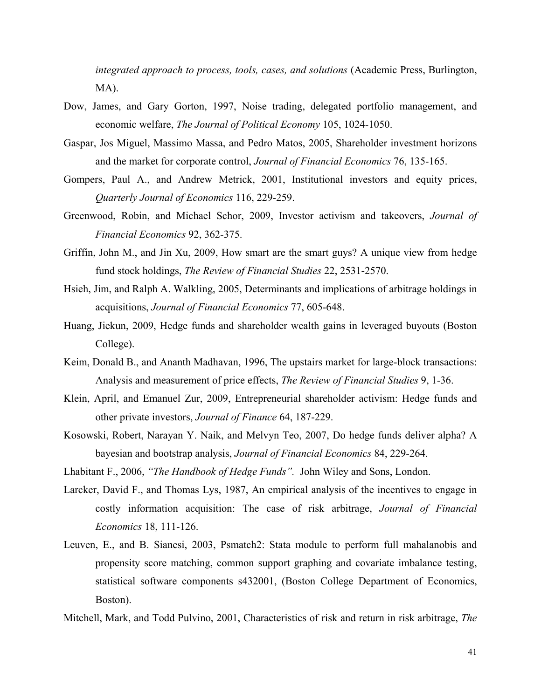*integrated approach to process, tools, cases, and solutions* (Academic Press, Burlington, MA).

- Dow, James, and Gary Gorton, 1997, Noise trading, delegated portfolio management, and economic welfare, *The Journal of Political Economy* 105, 1024-1050.
- Gaspar, Jos Miguel, Massimo Massa, and Pedro Matos, 2005, Shareholder investment horizons and the market for corporate control, *Journal of Financial Economics* 76, 135-165.
- Gompers, Paul A., and Andrew Metrick, 2001, Institutional investors and equity prices, *Quarterly Journal of Economics* 116, 229-259.
- Greenwood, Robin, and Michael Schor, 2009, Investor activism and takeovers, *Journal of Financial Economics* 92, 362-375.
- Griffin, John M., and Jin Xu, 2009, How smart are the smart guys? A unique view from hedge fund stock holdings, *The Review of Financial Studies* 22, 2531-2570.
- Hsieh, Jim, and Ralph A. Walkling, 2005, Determinants and implications of arbitrage holdings in acquisitions, *Journal of Financial Economics* 77, 605-648.
- Huang, Jiekun, 2009, Hedge funds and shareholder wealth gains in leveraged buyouts (Boston College).
- Keim, Donald B., and Ananth Madhavan, 1996, The upstairs market for large-block transactions: Analysis and measurement of price effects, *The Review of Financial Studies* 9, 1-36.
- Klein, April, and Emanuel Zur, 2009, Entrepreneurial shareholder activism: Hedge funds and other private investors, *Journal of Finance* 64, 187-229.
- Kosowski, Robert, Narayan Y. Naik, and Melvyn Teo, 2007, Do hedge funds deliver alpha? A bayesian and bootstrap analysis, *Journal of Financial Economics* 84, 229-264.
- Lhabitant F., 2006, *"The Handbook of Hedge Funds".* John Wiley and Sons, London.
- Larcker, David F., and Thomas Lys, 1987, An empirical analysis of the incentives to engage in costly information acquisition: The case of risk arbitrage, *Journal of Financial Economics* 18, 111-126.
- Leuven, E., and B. Sianesi, 2003, Psmatch2: Stata module to perform full mahalanobis and propensity score matching, common support graphing and covariate imbalance testing, statistical software components s432001, (Boston College Department of Economics, Boston).
- Mitchell, Mark, and Todd Pulvino, 2001, Characteristics of risk and return in risk arbitrage, *The*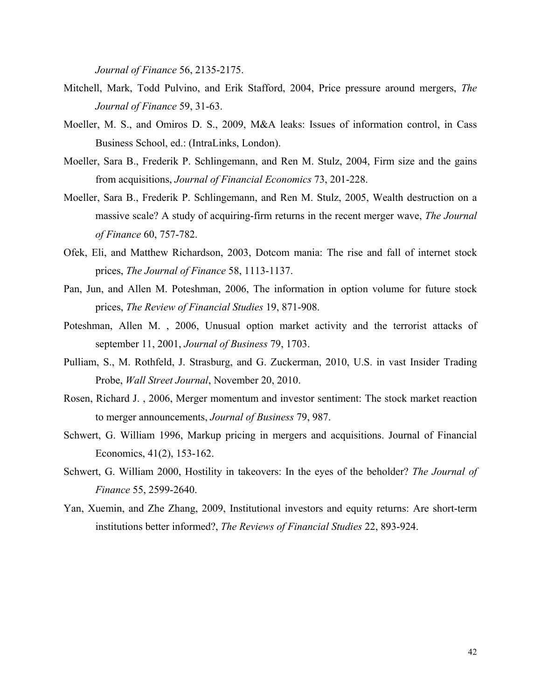*Journal of Finance* 56, 2135-2175.

- Mitchell, Mark, Todd Pulvino, and Erik Stafford, 2004, Price pressure around mergers, *The Journal of Finance* 59, 31-63.
- Moeller, M. S., and Omiros D. S., 2009, M&A leaks: Issues of information control, in Cass Business School, ed.: (IntraLinks, London).
- Moeller, Sara B., Frederik P. Schlingemann, and Ren M. Stulz, 2004, Firm size and the gains from acquisitions, *Journal of Financial Economics* 73, 201-228.
- Moeller, Sara B., Frederik P. Schlingemann, and Ren M. Stulz, 2005, Wealth destruction on a massive scale? A study of acquiring-firm returns in the recent merger wave, *The Journal of Finance* 60, 757-782.
- Ofek, Eli, and Matthew Richardson, 2003, Dotcom mania: The rise and fall of internet stock prices, *The Journal of Finance* 58, 1113-1137.
- Pan, Jun, and Allen M. Poteshman, 2006, The information in option volume for future stock prices, *The Review of Financial Studies* 19, 871-908.
- Poteshman, Allen M. , 2006, Unusual option market activity and the terrorist attacks of september 11, 2001, *Journal of Business* 79, 1703.
- Pulliam, S., M. Rothfeld, J. Strasburg, and G. Zuckerman, 2010, U.S. in vast Insider Trading Probe, *Wall Street Journal*, November 20, 2010.
- Rosen, Richard J. , 2006, Merger momentum and investor sentiment: The stock market reaction to merger announcements, *Journal of Business* 79, 987.
- Schwert, G. William 1996, Markup pricing in mergers and acquisitions. Journal of Financial Economics, 41(2), 153-162.
- Schwert, G. William 2000, Hostility in takeovers: In the eyes of the beholder? *The Journal of Finance* 55, 2599-2640.
- Yan, Xuemin, and Zhe Zhang, 2009, Institutional investors and equity returns: Are short-term institutions better informed?, *The Reviews of Financial Studies* 22, 893-924.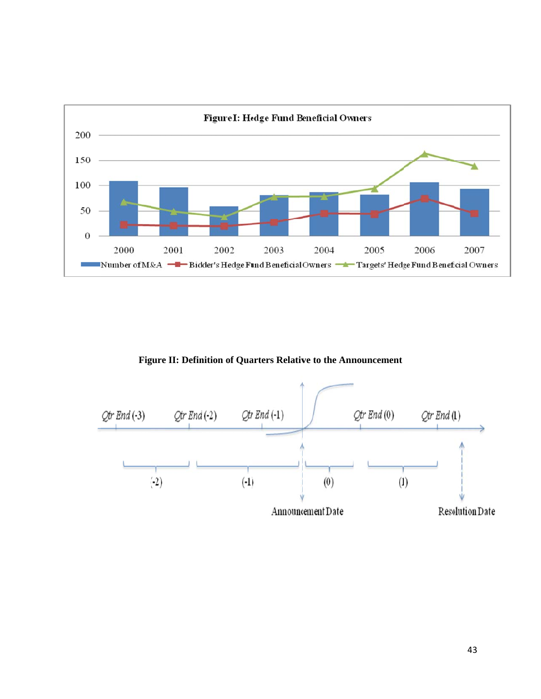

**Figure II: Definition of Quarters Relative to the Announcement** 

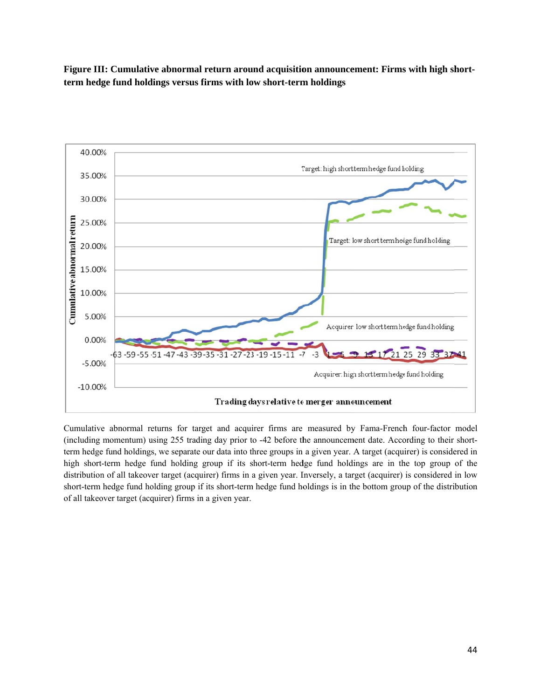Figure III: Cumulative abnormal return around acquisition announcement: Firms with high shortterm hedge fund holdings versus firms with low short-term holdings



Cumulative abnormal returns for target and acquirer firms are measured by Fama-French four-factor model (including momentum) using 255 trading day prior to -42 before the announcement date. According to their shortterm hedge fund holdings, we separate our data into three groups in a given year. A target (acquirer) is considered in high short-term hedge fund holding group if its short-term hedge fund holdings are in the top group of the distribution of all takeover target (acquirer) firms in a given year. Inversely, a target (acquirer) is considered in low short-term hedge fund holding group if its short-term hedge fund holdings is in the bottom group of the distribution of all takeover target (acquirer) firms in a given year.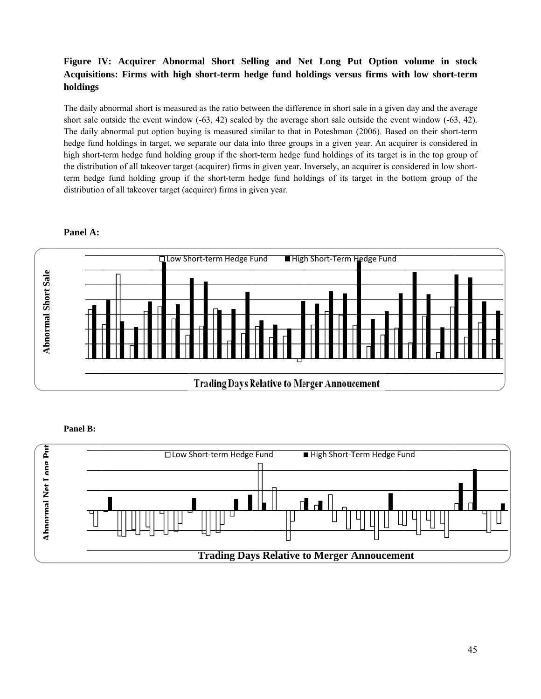## Figure IV: Acquirer Abnormal Short Selling and Net Long Put Option volume in stock Acquisitions: Firms with high short-term hedge fund holdings versus firms with low short-term **holdings**

The daily abnormal short is measured as the ratio between the difference in short sale in a given day and the average short sale outside the event window  $(-63, 42)$  scaled by the average short sale outside the event window  $(-63, 42)$ . The daily abnormal put option buying is measured similar to that in Poteshman (2006). Based on their short-term hedge fund holdings in target, we separate our data into three groups in a given year. An acquirer is considered in high short-term hedge fund holding group if the short-term hedge fund holdings of its target is in the top group of the distribution of all takeover target (acquirer) firms in given year. Inversely, an acquirer is considered in low shortterm hedge fund holding group if the short-term hedge fund holdings of its target in the bottom group of the distribution of all takeover target (acquirer) firms in given year.



#### **Panel A:**



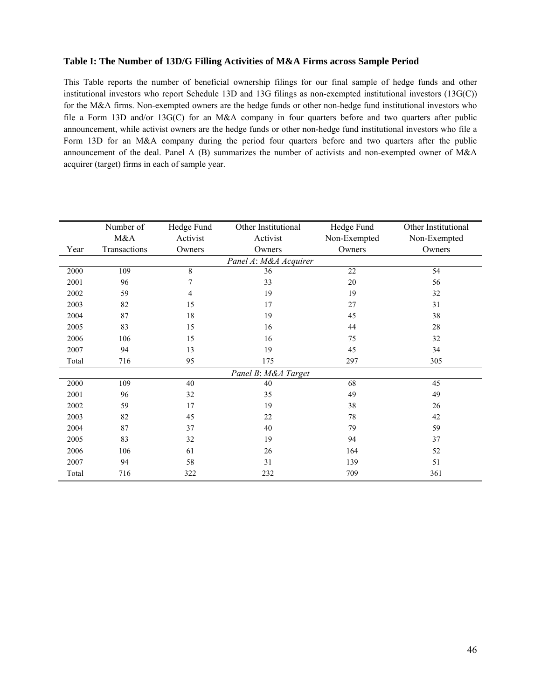#### **Table I: The Number of 13D/G Filling Activities of M&A Firms across Sample Period**

This Table reports the number of beneficial ownership filings for our final sample of hedge funds and other institutional investors who report Schedule 13D and 13G filings as non-exempted institutional investors (13G(C)) for the M&A firms. Non-exempted owners are the hedge funds or other non-hedge fund institutional investors who file a Form 13D and/or 13G(C) for an M&A company in four quarters before and two quarters after public announcement, while activist owners are the hedge funds or other non-hedge fund institutional investors who file a Form 13D for an M&A company during the period four quarters before and two quarters after the public announcement of the deal. Panel A (B) summarizes the number of activists and non-exempted owner of M&A acquirer (target) firms in each of sample year.

|       | Number of    | Hedge Fund | Other Institutional   | Hedge Fund   | Other Institutional |
|-------|--------------|------------|-----------------------|--------------|---------------------|
|       | M&A          | Activist   | Activist              | Non-Exempted | Non-Exempted        |
| Year  | Transactions | Owners     | Owners                | Owners       | Owners              |
|       |              |            | Panel A: M&A Acquirer |              |                     |
| 2000  | 109          | 8          | 36                    | $22\,$       | 54                  |
| 2001  | 96           | 7          | 33                    | $20\,$       | 56                  |
| 2002  | 59           | 4          | 19                    | 19           | 32                  |
| 2003  | 82           | 15         | 17                    | 27           | 31                  |
| 2004  | 87           | 18         | 19                    | 45           | 38                  |
| 2005  | 83           | 15         | 16                    | 44           | 28                  |
| 2006  | 106          | 15         | 16                    | 75           | 32                  |
| 2007  | 94           | 13         | 19                    | 45           | 34                  |
| Total | 716          | 95         | 175                   | 297          | 305                 |
|       |              |            | Panel B: M&A Target   |              |                     |
| 2000  | 109          | 40         | 40                    | 68           | 45                  |
| 2001  | 96           | 32         | 35                    | 49           | 49                  |
| 2002  | 59           | 17         | 19                    | 38           | 26                  |
| 2003  | 82           | 45         | 22                    | 78           | 42                  |
| 2004  | 87           | 37         | 40                    | 79           | 59                  |
| 2005  | 83           | 32         | 19                    | 94           | 37                  |
| 2006  | 106          | 61         | 26                    | 164          | 52                  |
| 2007  | 94           | 58         | 31                    | 139          | 51                  |
| Total | 716          | 322        | 232                   | 709          | 361                 |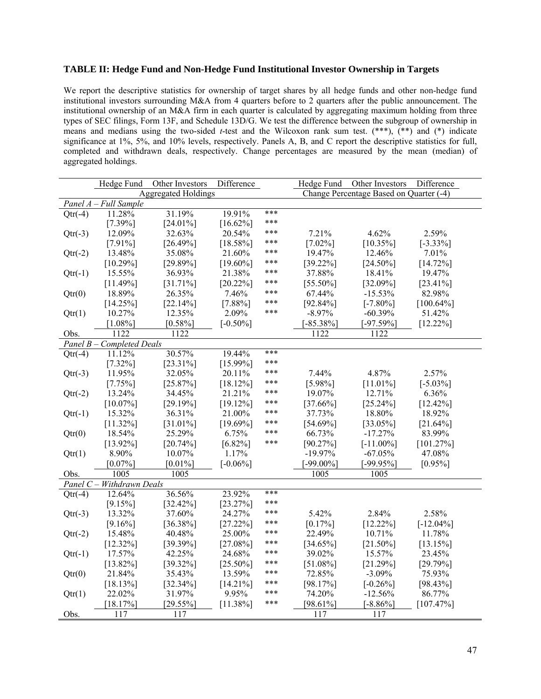#### **TABLE II: Hedge Fund and Non-Hedge Fund Institutional Investor Ownership in Targets**

We report the descriptive statistics for ownership of target shares by all hedge funds and other non-hedge fund institutional investors surrounding M&A from 4 quarters before to 2 quarters after the public announcement. The institutional ownership of an M&A firm in each quarter is calculated by aggregating maximum holding from three types of SEC filings, Form 13F, and Schedule 13D/G. We test the difference between the subgroup of ownership in means and medians using the two-sided *t*-test and the Wilcoxon rank sum test. (\*\*\*), (\*\*) and (\*) indicate significance at 1%, 5%, and 10% levels, respectively. Panels A, B, and C report the descriptive statistics for full, completed and withdrawn deals, respectively. Change percentages are measured by the mean (median) of aggregated holdings.

|           | Hedge Fund                                       | Other Investors            | Difference  |     |              | Hedge Fund Other Investors Difference   |              |
|-----------|--------------------------------------------------|----------------------------|-------------|-----|--------------|-----------------------------------------|--------------|
|           |                                                  | <b>Aggregated Holdings</b> |             |     |              | Change Percentage Based on Quarter (-4) |              |
| Panel A   | <b>Full Sample</b>                               |                            |             |     |              |                                         |              |
| $Qtr(-4)$ | 11.28%                                           | 31.19%                     | 19.91%      | *** |              |                                         |              |
|           | $[7.39\%]$                                       | $[24.01\%]$                | $[16.62\%]$ | *** |              |                                         |              |
| $Qtr(-3)$ | 12.09%                                           | 32.63%                     | 20.54%      | *** | 7.21%        | 4.62%                                   | 2.59%        |
|           | $[7.91\%]$                                       | $[26.49\%]$                | $[18.58\%]$ | *** | $[7.02\%]$   | $[10.35\%]$                             | $[-3.33\%]$  |
| $Qtr(-2)$ | 13.48%                                           | 35.08%                     | 21.60%      | *** | 19.47%       | 12.46%                                  | 7.01%        |
|           | $[10.29\%]$                                      | $[29.89\%]$                | $[19.60\%]$ | *** | $[39.22\%]$  | $[24.50\%]$                             | $[14.72\%]$  |
| $Qtr(-1)$ | 15.55%                                           | 36.93%                     | 21.38%      | *** | 37.88%       | 18.41%                                  | 19.47%       |
|           | $[11.49\%]$                                      | $[31.71\%]$                | $[20.22\%]$ | *** | $[55.50\%]$  | [32.09%]                                | $[23.41\%]$  |
| Qtr(0)    | 18.89%                                           | 26.35%                     | 7.46%       | *** | 67.44%       | $-15.53%$                               | 82.98%       |
|           | $[14.25\%]$                                      | $[22.14\%]$                | $[7.88\%]$  | *** | $[92.84\%]$  | $[-7.80\%]$                             | $[100.64\%]$ |
| Qtr(1)    | 10.27%                                           | 12.35%                     | 2.09%       | *** | $-8.97%$     | $-60.39%$                               | 51.42%       |
|           | $[1.08\%]$                                       | $[0.58\%]$                 | $[-0.50\%]$ |     | $[-85.38\%]$ | $[-97.59\%]$                            | $[12.22\%]$  |
| Obs.      | 1122                                             | 1122                       |             |     | 1122         | 1122                                    |              |
|           | Panel B - Completed Deals                        |                            |             |     |              |                                         |              |
| $Qtr(-4)$ | 11.12%                                           | 30.57%                     | 19.44%      | *** |              |                                         |              |
|           | $[7.32\%]$                                       | $[23.31\%]$                | $[15.99\%]$ | *** |              |                                         |              |
| $Qtr(-3)$ | 11.95%                                           | 32.05%                     | 20.11%      | *** | 7.44%        | 4.87%                                   | 2.57%        |
|           | $[7.75\%]$                                       | $[25.87\%]$                | $[18.12\%]$ | *** | $[5.98\%]$   | $[11.01\%]$                             | $[-5.03\%]$  |
| $Qtr(-2)$ | 13.24%                                           | 34.45%                     | 21.21%      | *** | 19.07%       | 12.71%                                  | 6.36%        |
|           | $[10.07\%]$                                      | $[29.19\%]$                | $[19.12\%]$ | *** | $[37.66\%]$  | $[25.24\%]$                             | $[12.42\%]$  |
| $Qtr(-1)$ | 15.32%                                           | 36.31%                     | 21.00%      | *** | 37.73%       | 18.80%                                  | 18.92%       |
|           | $[11.32\%]$                                      | $[31.01\%]$                | $[19.69\%]$ | *** | $[54.69\%]$  | $[33.05\%]$                             | $[21.64\%]$  |
| Qtr(0)    | 18.54%                                           | 25.29%                     | 6.75%       | *** | 66.73%       | $-17.27%$                               | 83.99%       |
|           | $[13.92\%]$                                      | $[20.74\%]$                | $[6.82\%]$  | *** | $[90.27\%]$  | $[-11.00\%]$                            | $[101.27\%]$ |
| Qtr(1)    | 8.90%                                            | 10.07%                     | $1.17\%$    |     | $-19.97\%$   | $-67.05\%$                              | 47.08%       |
|           | $[0.07\%]$                                       | $[0.01\%]$                 | $[-0.06\%]$ |     | $[-99.00\%]$ | $[-99.95\%]$                            | $[0.95\%]$   |
| Obs.      | 1005                                             | 1005                       |             |     | 1005         | 1005                                    |              |
|           | $\overline{Panel}$ $C - Without$ Withdrawn Deals |                            |             |     |              |                                         |              |
| $Qtr(-4)$ | 12.64%                                           | 36.56%                     | 23.92%      | *** |              |                                         |              |
|           | $[9.15\%]$                                       | $[32.42\%]$                | $[23.27\%]$ | *** |              |                                         |              |
| $Qtr(-3)$ | 13.32%                                           | 37.60%                     | 24.27%      | *** | 5.42%        | 2.84%                                   | 2.58%        |
|           | $[9.16\%]$                                       | $[36.38\%]$                | $[27.22\%]$ | *** | $[0.17\%]$   | $[12.22\%]$                             | $[-12.04\%]$ |
| $Qtr(-2)$ | 15.48%                                           | 40.48%                     | 25.00%      | *** | 22.49%       | 10.71%                                  | 11.78%       |
|           | $[12.32\%]$                                      | $[39.39\%]$                | $[27.08\%]$ | *** | $[34.65\%]$  | $[21.50\%]$                             | $[13.15\%]$  |
| $Qtr(-1)$ | 17.57%                                           | 42.25%                     | 24.68%      | *** | 39.02%       | 15.57%                                  | 23.45%       |
|           | $[13.82\%]$                                      | $[39.32\%]$                | $[25.50\%]$ | *** | $[51.08\%]$  | $[21.29\%]$                             | $[29.79\%]$  |
| Qtr(0)    | 21.84%                                           | 35.43%                     | 13.59%      | *** | 72.85%       | $-3.09%$                                | 75.93%       |
|           | $[18.13\%]$                                      | $[32.34\%]$                | $[14.21\%]$ | *** | $[98.17\%]$  | $[-0.26\%]$                             | $[98.43\%]$  |
| Qtr(1)    | 22.02%                                           | 31.97%                     | 9.95%       | *** | 74.20%       | $-12.56\%$                              | 86.77%       |
|           | $[18.17\%]$                                      | $[29.55\%]$                | $[11.38\%]$ | *** | $[98.61\%]$  | $[-8.86\%]$                             | $[107.47\%]$ |
| Obs.      | 117                                              | 117                        |             |     | 117          | 117                                     |              |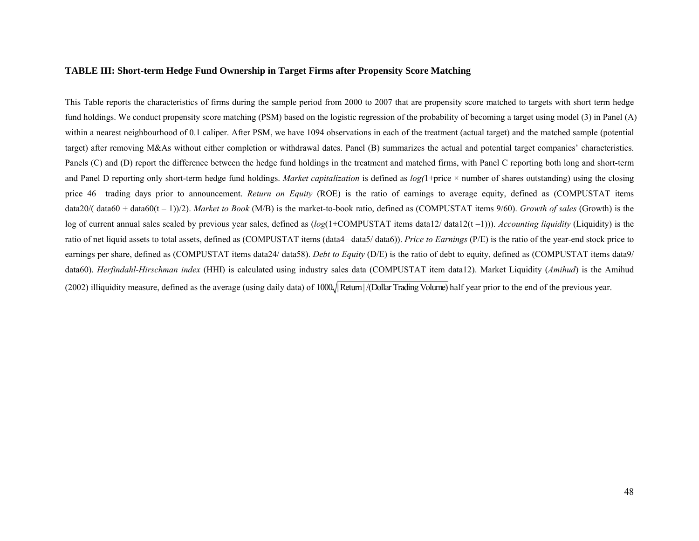#### **TABLE III: Short-term Hedge Fund Ownership in Target Firms after Propensity Score Matching**

This Table reports the characteristics of firms during the sample period from 2000 to 2007 that are propensity score matched to targets with short term hedge fund holdings. We conduct propensity score matching (PSM) based on the logistic regression of the probability of becoming a target using model (3) in Panel (A) within a nearest neighbourhood of 0.1 caliper. After PSM, we have 1094 observations in each of the treatment (actual target) and the matched sample (potential target) after removing M&As without either completion or withdrawal dates. Panel (B) summarizes the actual and potential target companies' characteristics. Panels (C) and (D) report the difference between the hedge fund holdings in the treatment and matched firms, with Panel C reporting both long and short-term and Panel D reporting only short-term hedge fund holdings. *Market capitalization* is defined as  $log(1+price \times number of shares outstanding) using the closing$ price 46 trading days prior to announcement. *Return on Equity* (ROE) is the ratio of earnings to average equity, defined as (COMPUSTAT items data20/( data60 + data60(t – 1))/2). *Market to Book* (M/B) is the market-to-book ratio, defined as (COMPUSTAT items 9/60). *Growth of sales* (Growth) is the log of current annual sales scaled by previous year sales, defined as  $(log(1+COMPUSTAT$  items data12/ data12(t-1))). *Accounting liquidity* (Liquidity) is the ratio of net liquid assets to total assets, defined as (COMPUSTAT items (data4– data5/ data6)). *Price to Earnings* (P/E) is the ratio of the year-end stock price to earnings per share, defined as (COMPUSTAT items data24/ data58). *Debt to Equity* (D/E) is the ratio of debt to equity, defined as (COMPUSTAT items data9/ data60). *Herfindahl-Hirschman index* (HHI) is calculated using industry sales data (COMPUSTAT item data12). Market Liquidity (*Amihud*) is the Amihud (2002) illiquidity measure, defined as the average (using daily data) of  $1000\sqrt{\text{Return} / (\text{Dollar Trading Volume})}$  half year prior to the end of the previous year.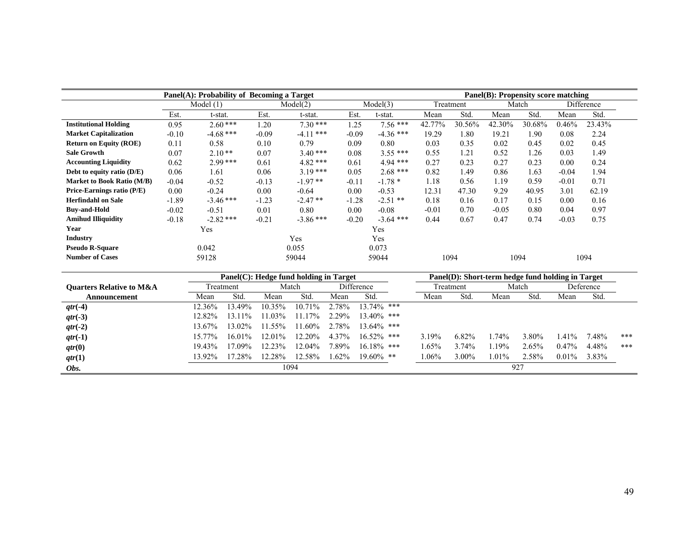|                                   |         | Panel(A): Probability of Becoming a Target |         |             |         |                       | Panel(B): Propensity score matching |        |         |        |         |            |
|-----------------------------------|---------|--------------------------------------------|---------|-------------|---------|-----------------------|-------------------------------------|--------|---------|--------|---------|------------|
|                                   |         | Model $(1)$                                |         | Model(2)    |         | Model(3)<br>Treatment |                                     |        | Match   |        |         | Difference |
|                                   | Est.    | t-stat.                                    | Est.    | t-stat.     | Est.    | t-stat.               | Mean                                | Std.   | Mean    | Std.   | Mean    | Std.       |
| <b>Institutional Holding</b>      | 0.95    | $2.60***$                                  | 1.20    | $7.30***$   | 1.25    | $7.56***$             | 42.77%                              | 30.56% | 42.30%  | 30.68% | 0.46%   | 23.43%     |
| <b>Market Capitalization</b>      | $-0.10$ | $-4.68$ ***                                | $-0.09$ | $-4.11***$  | $-0.09$ | $-4.36$ ***           | 19.29                               | 1.80   | 19.21   | 1.90   | 0.08    | 2.24       |
| <b>Return on Equity (ROE)</b>     | 0.11    | 0.58                                       | 0.10    | 0.79        | 0.09    | 0.80                  | 0.03                                | 0.35   | 0.02    | 0.45   | 0.02    | 0.45       |
| <b>Sale Growth</b>                | 0.07    | $2.10**$                                   | 0.07    | $3.40***$   | 0.08    | $3.55***$             | 0.55                                | 1.21   | 0.52    | 1.26   | 0.03    | 1.49       |
| <b>Accounting Liquidity</b>       | 0.62    | $2.99***$                                  | 0.61    | $4.82***$   | 0.61    | $4.94$ ***            | 0.27                                | 0.23   | 0.27    | 0.23   | 0.00    | 0.24       |
| Debt to equity ratio $(D/E)$      | 0.06    | 1.61                                       | 0.06    | $3.19***$   | 0.05    | $2.68$ ***            | 0.82                                | 1.49   | 0.86    | 1.63   | $-0.04$ | 1.94       |
| <b>Market to Book Ratio (M/B)</b> | $-0.04$ | $-0.52$                                    | $-0.13$ | $-1.97**$   | $-0.11$ | $-1.78*$              | 1.18                                | 0.56   | 1.19    | 0.59   | $-0.01$ | 0.71       |
| Price-Earnings ratio (P/E)        | 0.00    | $-0.24$                                    | 0.00    | $-0.64$     | 0.00    | $-0.53$               | 12.31                               | 47.30  | 9.29    | 40.95  | 3.01    | 62.19      |
| <b>Herfindahl on Sale</b>         | $-1.89$ | $-3.46$ ***                                | $-1.23$ | $-2.47**$   | $-1.28$ | $-2.51$ **            | 0.18                                | 0.16   | 0.17    | 0.15   | 0.00    | 0.16       |
| <b>Buv-and-Hold</b>               | $-0.02$ | $-0.51$                                    | 0.01    | 0.80        | 0.00    | $-0.08$               | $-0.01$                             | 0.70   | $-0.05$ | 0.80   | 0.04    | 0.97       |
| <b>Amihud Illiquidity</b>         | $-0.18$ | $-2.82$ ***                                | $-0.21$ | $-3.86$ *** | $-0.20$ | $-3.64$ ***           | 0.44                                | 0.67   | 0.47    | 0.74   | $-0.03$ | 0.75       |
| Year                              |         | Yes                                        |         |             |         | Yes                   |                                     |        |         |        |         |            |
| Industry                          |         |                                            |         | Yes         |         | Yes                   |                                     |        |         |        |         |            |
| <b>Pseudo R-Square</b>            |         | 0.042                                      |         | 0.055       |         | 0.073                 |                                     |        |         |        |         |            |
| <b>Number of Cases</b>            |         | 59128                                      |         | 59044       |         | 59044                 |                                     | 1094   |         | 1094   |         | 1094       |

|                                     |           | Panel(C): Hedge fund holding in Target |           |                    |          | Panel(D): Short-term hedge fund holding in Target |       |           |          |       |          |           |     |
|-------------------------------------|-----------|----------------------------------------|-----------|--------------------|----------|---------------------------------------------------|-------|-----------|----------|-------|----------|-----------|-----|
| <b>Ouarters Relative to M&amp;A</b> |           | Treatment                              | Match     |                    |          | Difference                                        |       | Treatment |          | Match |          | Deference |     |
| Announcement                        | Mean      | Std.                                   | Mean      | Std.               | Mean     | Std.                                              | Mean  | Std.      | Mean     | Std   | Mean     | Std.      |     |
| $qtr(-4)$                           | 12.36%    | 13.49%                                 | $10.35\%$ | 10.71%             | 2.78%    | $13.74\%$ ***                                     |       |           |          |       |          |           |     |
| $qtr(-3)$                           | $12.82\%$ | 13.11%                                 | $11.03\%$ | $11.17\%$          | $2.29\%$ | $13.40\%$ ***                                     |       |           |          |       |          |           |     |
| $qtr(-2)$                           | 13.67%    | 13.02%                                 | $11.55\%$ | $-60\%$<br>$\perp$ | 2.78%    | $13.64\%$ ***                                     |       |           |          |       |          |           |     |
| $qtr(-1)$                           | $15.77\%$ | $16.01\%$                              | $12.01\%$ | 12.20%             | 4.37%    | $16.52\%$ ***                                     | 3.19% | 6.82%     | $1.74\%$ | 3.80% | $1.41\%$ | 7.48%     | *** |
| qtr(0)                              | $19.43\%$ | 17.09%                                 | $12.23\%$ | $12.04\%$          | 7.89%    | $16.18\%$ ***                                     | 1.65% | 3.74%     | 19%      | 2.65% | $0.47\%$ | 4.48%     | *** |
| qtr(1)                              | 13.92%    | 17.28%                                 | 12.28%    | 12.58%             | $1.62\%$ | $19.60\%$ **                                      | 1.06% | $3.00\%$  | 1.01%    | 2.58% | $0.01\%$ | 3.83%     |     |
| Obs.                                |           |                                        |           | 1094               |          |                                                   |       |           |          | 927   |          |           |     |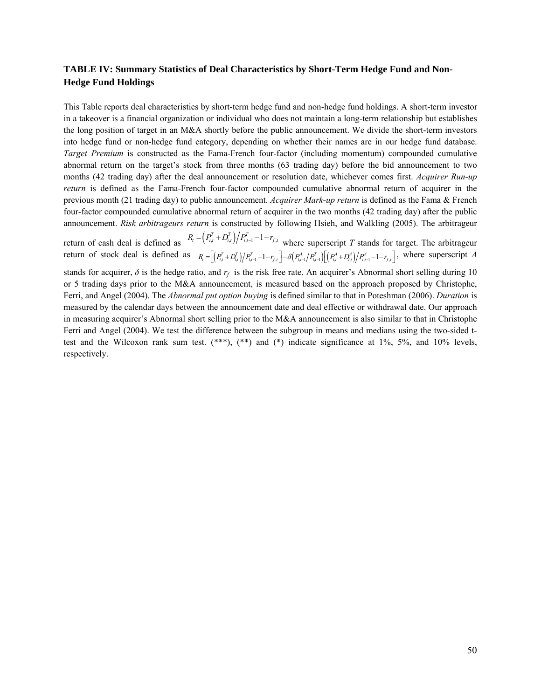#### **TABLE IV: Summary Statistics of Deal Characteristics by Short-Term Hedge Fund and Non-Hedge Fund Holdings**

This Table reports deal characteristics by short-term hedge fund and non-hedge fund holdings. A short-term investor in a takeover is a financial organization or individual who does not maintain a long-term relationship but establishes the long position of target in an M&A shortly before the public announcement. We divide the short-term investors into hedge fund or non-hedge fund category, depending on whether their names are in our hedge fund database. *Target Premium* is constructed as the Fama-French four-factor (including momentum) compounded cumulative abnormal return on the target's stock from three months (63 trading day) before the bid announcement to two months (42 trading day) after the deal announcement or resolution date, whichever comes first. *Acquirer Run-up return* is defined as the Fama-French four-factor compounded cumulative abnormal return of acquirer in the previous month (21 trading day) to public announcement. *Acquirer Mark-up return* is defined as the Fama & French four-factor compounded cumulative abnormal return of acquirer in the two months (42 trading day) after the public announcement. *Risk arbitrageurs return* is constructed by following Hsieh, and Walkling (2005). The arbitrageur

return of cash deal is defined as  $\frac{N_f - (N_f + N_f)}{N_f}$  where superscript *T* stands for target. The arbitrageur return of stock deal is defined as  $R = [(P_+ + D_-)/P_-^T] - [P_- - - P_{\ell}] - \delta[P_+^T]/P_-^T] - [P_+^T + P_{\ell}] - [P_+^T + P_{\ell}]$ , where superscript *A*  $R_{t} = (P_{i,t}^{T} + D_{i,t}^{T})/P_{i,t-1}^{T} - 1 - r_{f,t}$  $R_{\rm r}=\!\!\left[\left(P_{i,t}^{T}+D_{i,t}^{T}\right)\!\middle/p_{i,t-1}^{T}\!-\!1\!-\!r_{f,t}\right]\!-\!\delta\!\left(P_{i,t-1}^{A}/P_{i,t-1}^{T}\right)\!\!\left[\left(P_{i,t}^{A}+D_{i,t}^{A}\right)\!\middle/p_{i,t-1}^{A}\!-\!1\!-\!r_{f,t}\right]$ 

stands for acquirer,  $\delta$  is the hedge ratio, and  $r_f$  is the risk free rate. An acquirer's Abnormal short selling during 10 or 5 trading days prior to the M&A announcement, is measured based on the approach proposed by Christophe, Ferri, and Angel (2004). The *Abnormal put option buying* is defined similar to that in Poteshman (2006). *Duration* is measured by the calendar days between the announcement date and deal effective or withdrawal date. Our approach in measuring acquirer's Abnormal short selling prior to the M&A announcement is also similar to that in Christophe Ferri and Angel (2004). We test the difference between the subgroup in means and medians using the two-sided ttest and the Wilcoxon rank sum test.  $(***)$ ,  $(**)$  and  $(*)$  indicate significance at 1%, 5%, and 10% levels, respectively.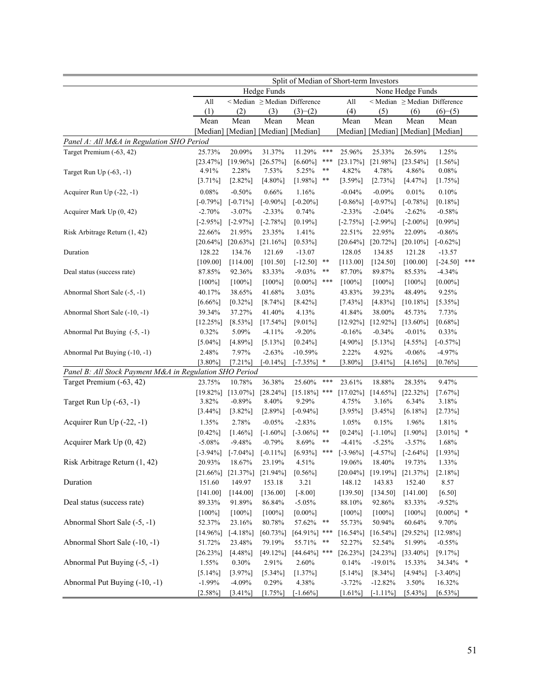|                                                         | Split of Median of Short-term Investors |                         |                      |                                        |       |                      |                            |                                    |                     |     |
|---------------------------------------------------------|-----------------------------------------|-------------------------|----------------------|----------------------------------------|-------|----------------------|----------------------------|------------------------------------|---------------------|-----|
|                                                         |                                         |                         | Hedge Funds          |                                        |       |                      |                            | None Hedge Funds                   |                     |     |
|                                                         | All                                     |                         |                      | $\leq$ Median $\geq$ Median Difference |       | All                  |                            | <median>Median Difference</median> |                     |     |
|                                                         | (1)                                     | (2)                     | (3)                  | $(3)-(2)$                              |       | (4)                  | (5)                        | (6)                                | (6)–(5)             |     |
|                                                         | Mean                                    | Mean                    | Mean                 | Mean                                   |       | Mean                 | Mean                       | Mean                               | Mean                |     |
|                                                         | [Median]                                | [Median]                | [Median] [Median]    |                                        |       |                      | [Median] [Median] [Median] |                                    | [Median]            |     |
| Panel A: All M&A in Regulation SHO Period               |                                         |                         |                      |                                        |       |                      |                            |                                    |                     |     |
| Target Premium (-63, 42)                                | 25.73%                                  | 20.09%                  | 31.37%               | 11.29%                                 | ***   | 25.96%               | 25.33%                     | 26.59%                             | 1.25%               |     |
|                                                         | $[23.47\%]$                             | $[19.96\%]$             | $[26.57\%]$          | $[6.60\%]$                             | ***   | $[23.17\%]$          | $[21.98\%]$                | $[23.54\%]$                        | $[1.56\%]$          |     |
| Target Run Up (-63, -1)                                 | 4.91%                                   | 2.28%                   | 7.53%                | 5.25%                                  | **    | 4.82%                | 4.78%                      | 4.86%                              | 0.08%               |     |
|                                                         | $[3.71\%]$                              | $[2.82\%]$              | $[4.80\%]$           | $[1.98\%]$                             | **    | [3.59%]              | $[2.73\%]$                 | $[4.47\%]$                         | $[1.75\%]$          |     |
| Acquirer Run Up (-22, -1)                               | 0.08%                                   | $-0.50%$                | 0.66%                | 1.16%                                  |       | $-0.04%$             | $-0.09%$                   | 0.01%                              | 0.10%               |     |
|                                                         | $[-0.79\%]$                             | $[-0.71\%]$             | $[-0.90\%]$          | $[-0.20\%]$                            |       | $[-0.86\%]$          | $[-0.97\%]$                | $[-0.78\%]$                        | $[0.18\%]$          |     |
| Acquirer Mark Up (0, 42)                                | $-2.70%$                                | $-3.07%$                | $-2.33%$             | 0.74%                                  |       | $-2.33%$             | $-2.04%$                   | $-2.62%$                           | $-0.58%$            |     |
|                                                         | $[-2.95\%]$                             | $[-2.97\%]$             | $[-2.78%]$           | [0.19%]                                |       | $[-2.75\%]$          | $[-2.99\%]$                | $[-2.00\%]$                        | $[0.99\%]$          |     |
| Risk Arbitrage Return (1, 42)                           | 22.66%                                  | 21.95%                  | 23.35%               | 1.41%                                  |       | 22.51%               | 22.95%                     | 22.09%                             | $-0.86%$            |     |
|                                                         | $[20.64\%]$                             | $[20.63\%]$             | $[21.16\%]$          | $[0.53\%]$                             |       | $[20.64\%]$          | $[20.72\%]$                | $[20.10\%]$                        | $[-0.62\%]$         |     |
| Duration                                                | 128.22                                  | 134.76                  | 121.69               | $-13.07$                               |       | 128.05               | 134.85                     | 121.28                             | $-13.57$            |     |
|                                                         | [109.00]                                | [114.00]                | [101.50]             | $[-12.50]$                             | $***$ | [113.00]             | [124.50]                   | [100.00]                           | $[-24.50]$          | *** |
| Deal status (success rate)                              | 87.85%                                  | 92.36%                  | 83.33%               | $-9.03%$                               | $***$ | 87.70%               | 89.87%                     | 85.53%                             | $-4.34%$            |     |
|                                                         | $[100\%]$                               | $[100\%]$               | $[100\%]$            | $[0.00\%]$                             | ***   | $[100\%]$            | $[100\%]$                  | $[100\%]$                          | $[0.00\%]$          |     |
| Abnormal Short Sale (-5, -1)                            | 40.17%                                  | 38.65%                  | 41.68%               | 3.03%                                  |       | 43.83%               | 39.23%                     | 48.49%                             | 9.25%               |     |
|                                                         | $[6.66\%]$                              | $[0.32\%]$              | $[8.74\%]$           | $[8.42\%]$                             |       | $[7.43\%]$           | $[4.83\%]$                 | $[10.18\%]$                        | $[5.35\%]$          |     |
| Abnormal Short Sale (-10, -1)                           | 39.34%                                  | 37.27%                  | 41.40%               | 4.13%                                  |       | 41.84%               | 38.00%                     | 45.73%                             | 7.73%               |     |
|                                                         | $[12.25\%]$                             | $[8.53\%]$              | $[17.54\%]$          | $[9.01\%]$                             |       | $[12.92\%]$          | $[12.92\%]$                | $[13.60\%]$                        | $[0.68\%]$          |     |
| Abnormal Put Buying (-5, -1)                            | 0.32%                                   | 5.09%                   | $-4.11%$             | $-9.20%$                               |       | $-0.16%$             | $-0.34%$                   | $-0.01%$                           | 0.33%               |     |
|                                                         | $[5.04\%]$                              | [4.89%]                 | $[5.13\%]$           | $[0.24\%]$                             |       | $[4.90\%]$           | $[5.13\%]$                 | $[4.55\%]$                         | $[-0.57\%]$         |     |
| Abnormal Put Buying (-10, -1)                           | 2.48%                                   | 7.97%                   | $-2.63%$             | $-10.59%$                              |       | 2.22%                | 4.92%                      | $-0.06%$                           | $-4.97%$            |     |
|                                                         | $[3.80\%]$                              | $[7.21\%]$              | $[-0.14\%]$          | $[-7.35\%]$ *                          |       | $[3.80\%]$           | $[3.41\%]$                 | $[4.16\%]$                         | $[0.76\%]$          |     |
| Panel B: All Stock Payment M&A in Regulation SHO Period |                                         |                         |                      |                                        |       |                      |                            |                                    |                     |     |
| Target Premium (-63, 42)                                | 23.75%                                  | 10.78%                  | 36.38%               | 25.60%                                 | $***$ | 23.61%               | 18.88%                     | 28.35%                             | 9.47%               |     |
|                                                         | $[19.82\%]$<br>3.82%                    | $[13.07\%]$<br>$-0.89%$ | $[28.24\%]$<br>8.40% | $[15.18\%]$<br>9.29%                   | ***   | $[17.02\%]$<br>4.75% | $[14.65\%]$<br>3.16%       | $[22.32\%]$<br>6.34%               | $[7.67\%]$<br>3.18% |     |
| Target Run Up (-63, -1)                                 | $[3.44\%]$                              | $[3.82\%]$              | [2.89%]              | $[-0.94\%]$                            |       | $[3.95\%]$           | $[3.45\%]$                 | $[6.18\%]$                         | [2.73%]             |     |
| Acquirer Run Up (-22, -1)                               | 1.35%                                   | 2.78%                   | $-0.05%$             | $-2.83%$                               |       | 1.05%                | 0.15%                      | 1.96%                              | 1.81%               |     |
|                                                         | $[0.42\%]$                              | $[1.46\%]$              | $[-1.60\%]$          | $[-3.06\%]$                            | **    | $[0.24\%]$           | $[-1.10\%]$                | $[1.90\%]$                         | $[3.01\%]$ *        |     |
| Acquirer Mark Up (0, 42)                                | $-5.08%$                                | $-9.48%$                | $-0.79%$             | 8.69%                                  | **    | $-4.41%$             | $-5.25%$                   | $-3.57%$                           | 1.68%               |     |
|                                                         | $[-3.94\%]$                             | $[-7.04\%]$             | $[-0.11\%]$          | $[6.93\%]$                             | ***   | $[-3.96\%]$          | $[-4.57\%]$                | $[-2.64\%]$                        | $[1.93\%]$          |     |
| Risk Arbitrage Return (1, 42)                           | 20.93%                                  | 18.67%                  | 23.19%               | 4.51%                                  |       | 19.06%               | 18.40%                     | 19.73%                             | 1.33%               |     |
|                                                         | $[21.66\%]$                             | $[21.37\%]$             | $[21.94\%]$          | $[0.56\%]$                             |       |                      | $[20.04\%]$ $[19.19\%]$    | $[21.37\%]$                        | $[2.18\%]$          |     |
| Duration                                                | 151.60                                  | 149.97                  | 153.18               | 3.21                                   |       | 148.12               | 143.83                     | 152.40                             | 8.57                |     |
|                                                         | [141.00]                                | [144.00]                | [136.00]             | $[-8.00]$                              |       | [139.50]             | [134.50]                   | [141.00]                           | [6.50]              |     |
| Deal status (success rate)                              | 89.33%                                  | 91.89%                  | 86.84%               | $-5.05%$                               |       | 88.10%               | 92.86%                     | 83.33%                             | $-9.52%$            |     |
|                                                         | $[100\%]$                               | $[100\%]$               | $[100\%]$            | $[0.00\%]$                             |       | $[100\%]$            | $[100\%]$                  | $[100\%]$                          | $[0.00\%]$ *        |     |
| Abnormal Short Sale (-5, -1)                            | 52.37%                                  | 23.16%                  | 80.78%               | 57.62%                                 | **    | 55.73%               | 50.94%                     | 60.64%                             | 9.70%               |     |
|                                                         | $[14.96\%]$                             | $[-4.18\%]$             | $[60.73\%]$          | $[64.91\%]$                            | ***   | $[16.54\%]$          | $[16.54\%]$                | $[29.52\%]$                        | $[12.98\%]$         |     |
| Abnormal Short Sale (-10, -1)                           | 51.72%                                  | 23.48%                  | 79.19%               | 55.71%                                 | **    | 52.27%               | 52.54%                     | 51.99%                             | $-0.55%$            |     |
|                                                         | $[26.23\%]$                             | $[4.48\%]$              | $[49.12\%]$          | $[44.64\%]$                            | ***   | $[26.23\%]$          | $[24.23\%]$                | $[33.40\%]$                        | $[9.17\%]$          |     |
| Abnormal Put Buying (-5, -1)                            | 1.55%                                   | 0.30%                   | 2.91%                | 2.60%                                  |       | 0.14%                | $-19.01%$                  | 15.33%                             | 34.34% *            |     |
|                                                         | $[5.14\%]$                              | $[3.97\%]$              | $[5.34\%]$           | $[1.37\%]$                             |       | $[5.14\%]$           | $[8.34\%]$                 | $[4.94\%]$                         | $[-3.40\%]$         |     |
| Abnormal Put Buying (-10, -1)                           | $-1.99%$                                | $-4.09%$                | 0.29%                | 4.38%                                  |       | $-3.72%$             | $-12.82%$                  | 3.50%                              | 16.32%              |     |
|                                                         | $[2.58\%]$                              | $[3.41\%]$              | $[1.75\%]$           | $[-1.66\%]$                            |       | $[1.61\%]$           | $[-1.11\%]$                | $[5.43\%]$                         | $[6.53\%]$          |     |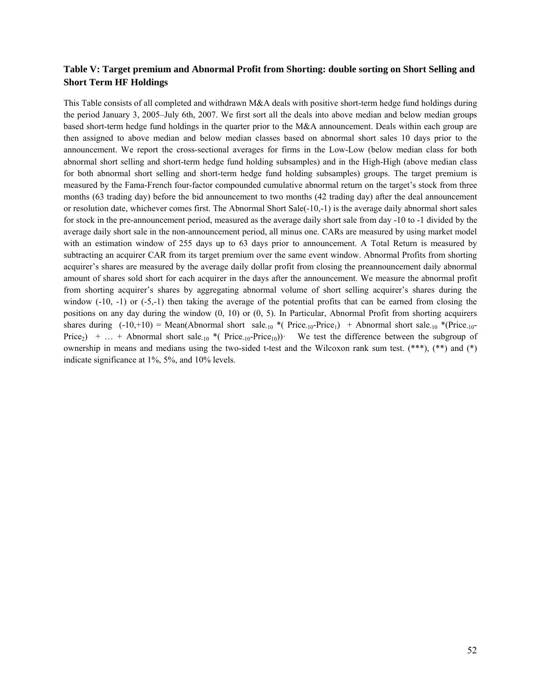#### **Table V: Target premium and Abnormal Profit from Shorting: double sorting on Short Selling and Short Term HF Holdings**

This Table consists of all completed and withdrawn M&A deals with positive short-term hedge fund holdings during the period January 3, 2005–July 6th, 2007. We first sort all the deals into above median and below median groups based short-term hedge fund holdings in the quarter prior to the M&A announcement. Deals within each group are then assigned to above median and below median classes based on abnormal short sales 10 days prior to the announcement. We report the cross-sectional averages for firms in the Low-Low (below median class for both abnormal short selling and short-term hedge fund holding subsamples) and in the High-High (above median class for both abnormal short selling and short-term hedge fund holding subsamples) groups. The target premium is measured by the Fama-French four-factor compounded cumulative abnormal return on the target's stock from three months (63 trading day) before the bid announcement to two months (42 trading day) after the deal announcement or resolution date, whichever comes first. The Abnormal Short Sale(-10,-1) is the average daily abnormal short sales for stock in the pre-announcement period, measured as the average daily short sale from day -10 to -1 divided by the average daily short sale in the non-announcement period, all minus one. CARs are measured by using market model with an estimation window of 255 days up to 63 days prior to announcement. A Total Return is measured by subtracting an acquirer CAR from its target premium over the same event window. Abnormal Profits from shorting acquirer's shares are measured by the average daily dollar profit from closing the preannouncement daily abnormal amount of shares sold short for each acquirer in the days after the announcement. We measure the abnormal profit from shorting acquirer's shares by aggregating abnormal volume of short selling acquirer's shares during the window  $(-10, -1)$  or  $(-5, -1)$  then taking the average of the potential profits that can be earned from closing the positions on any day during the window (0, 10) or (0, 5). In Particular, Abnormal Profit from shorting acquirers shares during  $(-10,+10)$  = Mean(Abnormal short sale<sub>-10</sub> \*(Price<sub>-10</sub>-Price<sub>1</sub>) + Abnormal short sale<sub>-10</sub> \*(Price<sub>-10</sub>-Price<sub>2</sub>) + ... + Abnormal short sale<sub>-10</sub> \*( Price<sub>-10</sub>-Price<sub>10</sub>)) We test the difference between the subgroup of ownership in means and medians using the two-sided t-test and the Wilcoxon rank sum test. (\*\*\*), (\*\*) and (\*) indicate significance at 1%, 5%, and 10% levels.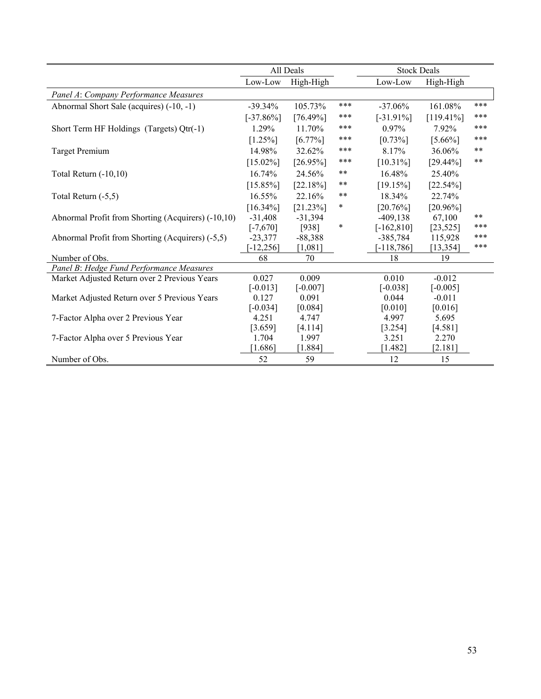|                                                    |              | All Deals   |        | <b>Stock Deals</b> |              |       |
|----------------------------------------------------|--------------|-------------|--------|--------------------|--------------|-------|
|                                                    | Low-Low      | High-High   |        | Low-Low            | High-High    |       |
| Panel A: Company Performance Measures              |              |             |        |                    |              |       |
| Abnormal Short Sale (acquires) (-10, -1)           | $-39.34\%$   | 105.73%     | ***    | $-37.06%$          | 161.08%      | ***   |
|                                                    | $[-37.86\%]$ | $[76.49\%]$ | ***    | $[-31.91\%]$       | $[119.41\%]$ | ***   |
| Short Term HF Holdings (Targets) Qtr(-1)           | 1.29%        | 11.70%      | ***    | 0.97%              | 7.92%        | ***   |
|                                                    | $[1.25\%]$   | $[6.77\%]$  | ***    | $[0.73\%]$         | $[5.66\%]$   | ***   |
| <b>Target Premium</b>                              | 14.98%       | 32.62%      | ***    | 8.17%              | 36.06%       | **    |
|                                                    | $[15.02\%]$  | $[26.95\%]$ | ***    | $[10.31\%]$        | $[29.44\%]$  | **    |
| Total Return $(-10,10)$                            | 16.74%       | 24.56%      | **     | 16.48%             | 25.40%       |       |
|                                                    | $[15.85\%]$  | $[22.18\%]$ | $***$  | $[19.15\%]$        | $[22.54\%]$  |       |
| Total Return (-5,5)                                | 16.55%       | 22.16%      | $***$  | 18.34%             | 22.74%       |       |
|                                                    | $[16.34\%]$  | $[21.23\%]$ | $\ast$ | $[20.76\%]$        | $[20.96\%]$  |       |
| Abnormal Profit from Shorting (Acquirers) (-10,10) | $-31,408$    | $-31,394$   |        | $-409, 138$        | 67,100       | $***$ |
|                                                    | $[-7,670]$   | [938]       | $\ast$ | $[-162, 810]$      | [23, 525]    | ***   |
| Abnormal Profit from Shorting (Acquirers) (-5,5)   | $-23,377$    | $-88,388$   |        | $-385,784$         | 115,928      | ***   |
|                                                    | $-12,256$ ]  | [1,081]     |        | $[-118, 786]$      | [13, 354]    | ***   |
| Number of Obs.                                     | 68           | 70          |        | 18                 | 19           |       |
| Panel B: Hedge Fund Performance Measures           |              |             |        |                    |              |       |
| Market Adjusted Return over 2 Previous Years       | 0.027        | 0.009       |        | 0.010              | $-0.012$     |       |
|                                                    | $[-0.013]$   | $[-0.007]$  |        | $[-0.038]$         | $[-0.005]$   |       |
| Market Adjusted Return over 5 Previous Years       | 0.127        | 0.091       |        | 0.044              | $-0.011$     |       |
|                                                    | $[-0.034]$   | [0.084]     |        | [0.010]            | [0.016]      |       |
| 7-Factor Alpha over 2 Previous Year                | 4.251        | 4.747       |        | 4.997              | 5.695        |       |
|                                                    | [3.659]      | [4.114]     |        | [3.254]            | [4.581]      |       |
| 7-Factor Alpha over 5 Previous Year                | 1.704        | 1.997       |        | 3.251              | 2.270        |       |
|                                                    | [1.686]      | [1.884]     |        | [1.482]            | [2.181]      |       |
| Number of Obs.                                     | 52           | 59          |        | 12                 | 15           |       |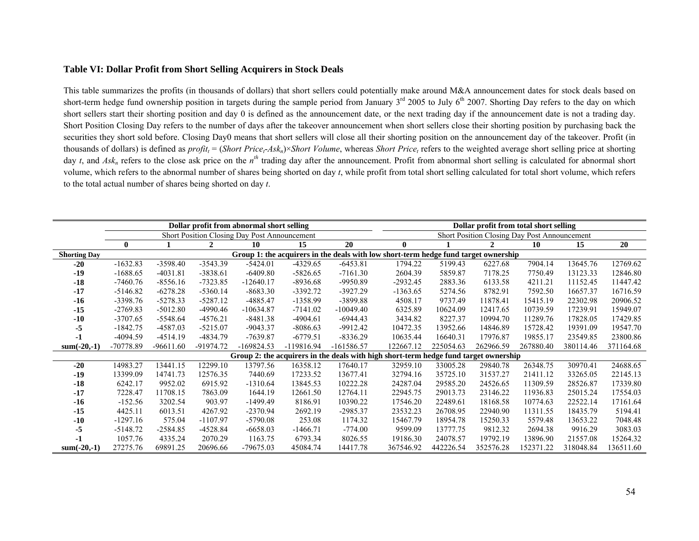#### **Table VI: Dollar Profit from Short Selling Acquirers in Stock Deals**

This table summarizes the profits (in thousands of dollars) that short sellers could potentially make around M&A announcement dates for stock deals based on short-term hedge fund ownership position in targets during the sample period from January  $3<sup>rd</sup>$  2005 to July 6<sup>th</sup> 2007. Shorting Day refers to the day on which short sellers start their shorting position and day 0 is defined as the announcement date, or the next trading day if the announcement date is not a trading day. Short Position Closing Day refers to the number of days after the takeover announcement when short sellers close their shorting position by purchasing back the securities they short sold before. Closing Day0 means that short sellers will close all their shorting position on the announcement day of the takeover. Profit (in thousands of dollars) is defined as  $profit_t = (Short Price_t - Ask_n) \times Short Volume$ , whereas *Short Price<sub>t</sub>* refers to the weighted average short selling price at shorting day *t*, and Ask<sub>n</sub> refers to the close ask price on the  $n<sup>th</sup>$  trading day after the announcement. Profit from abnormal short selling is calculated for abnormal short volume, which refers to the abnormal number of shares being shorted on day *<sup>t</sup>*, while profit from total short selling calculated for total short volume, which refers to the total actual number of shares being shorted on day *<sup>t</sup>*.

|                     |              |             |              | Dollar profit from abnormal short selling           |            |              |                                                                                      | Dollar profit from total short selling |                                              |           |           |           |  |  |
|---------------------|--------------|-------------|--------------|-----------------------------------------------------|------------|--------------|--------------------------------------------------------------------------------------|----------------------------------------|----------------------------------------------|-----------|-----------|-----------|--|--|
|                     |              |             |              | <b>Short Position Closing Day Post Announcement</b> |            |              |                                                                                      |                                        | Short Position Closing Day Post Announcement |           |           |           |  |  |
|                     | $\mathbf{0}$ |             | $\mathbf{2}$ | 10                                                  | 15         | 20           | 0                                                                                    |                                        | $\mathbf{2}$                                 | 10        | 15        | 20        |  |  |
| <b>Shorting Day</b> |              |             |              |                                                     |            |              | Group 1: the acquirers in the deals with low short-term hedge fund target ownership  |                                        |                                              |           |           |           |  |  |
| $-20$               | $-1632.83$   | $-3598.40$  | -3543.39     | $-5424.01$                                          | $-4329.65$ | $-6453.81$   | 1794.22                                                                              | 5199.43                                | 6227.68                                      | 7904.14   | 13645.76  | 12769.62  |  |  |
| $-19$               | $-1688.65$   | $-4031.81$  | $-3838.61$   | $-6409.80$                                          | $-5826.65$ | $-7161.30$   | 2604.39                                                                              | 5859.87                                | 7178.25                                      | 7750.49   | 13123.33  | 12846.80  |  |  |
| $-18$               | $-7460.76$   | $-8556.16$  | $-7323.85$   | $-12640.17$                                         | $-8936.68$ | -9950.89     | $-2932.45$                                                                           | 2883.36                                | 6133.58                                      | 4211.21   | 11152.45  | 11447.42  |  |  |
| $-17$               | $-5146.82$   | $-6278.28$  | $-5360.14$   | $-8683.30$                                          | $-3392.72$ | $-3927.29$   | $-1363.65$                                                                           | 5274.56                                | 8782.91                                      | 7592.50   | 16657.37  | 16716.59  |  |  |
| $-16$               | -3398.76     | $-5278.33$  | $-5287.12$   | -4885.47                                            | -1358.99   | -3899.88     | 4508.17                                                                              | 9737.49                                | 11878.41                                     | 15415.19  | 22302.98  | 20906.52  |  |  |
| $-15$               | $-2769.83$   | $-5012.80$  | -4990.46     | $-10634.87$                                         | $-7141.02$ | $-10049.40$  | 6325.89                                                                              | 10624.09                               | 12417.65                                     | 10739.59  | 17239.91  | 15949.07  |  |  |
| $-10$               | $-3707.65$   | $-5548.64$  | $-4576.21$   | $-8481.38$                                          | $-4904.61$ | $-6944.43$   | 3434.82                                                                              | 8227.37                                | 10994.70                                     | 11289.76  | 17828.05  | 17429.85  |  |  |
| $-5$                | $-1842.75$   | -4587.03    | $-5215.07$   | $-9043.37$                                          | $-8086.63$ | $-9912.42$   | 10472.35                                                                             | 13952.66                               | 14846.89                                     | 15728.42  | 19391.09  | 19547.70  |  |  |
| -1                  | -4094.59     | $-4514.19$  | $-4834.79$   | $-7639.87$                                          | $-6779.51$ | $-8336.29$   | 10635.44                                                                             | 16640.31                               | 17976.87                                     | 19855.17  | 23549.85  | 23800.86  |  |  |
| sum $(-20,-1)$      | -70778.89    | $-96611.60$ | -91974.72    | $-169824.53$                                        | -119816.94 | $-161586.57$ | 122667.12                                                                            | 225054.63                              | 262966.59                                    | 267880.40 | 380114.46 | 371164.68 |  |  |
|                     |              |             |              |                                                     |            |              | Group 2: the acquirers in the deals with high short-term hedge fund target ownership |                                        |                                              |           |           |           |  |  |
| $-20$               | 14983.27     | 13441.15    | 12299.10     | 13797.56                                            | 16358.12   | 17640.17     | 32959.10                                                                             | 33005.28                               | 29840.78                                     | 26348.75  | 30970.41  | 24688.65  |  |  |
| $-19$               | 13399.09     | 14741.73    | 12576.35     | 7440.69                                             | 17233.52   | 13677.41     | 32794.16                                                                             | 35725.10                               | 31537.27                                     | 21411.12  | 33265.05  | 22145.13  |  |  |
| $-18$               | 6242.17      | 9952.02     | 6915.92      | $-1310.64$                                          | 13845.53   | 10222.28     | 24287.04                                                                             | 29585.20                               | 24526.65                                     | 11309.59  | 28526.87  | 17339.80  |  |  |
| $-17$               | 7228.47      | 11708.15    | 7863.09      | 1644.19                                             | 12661.50   | 12764.11     | 22945.75                                                                             | 29013.73                               | 23146.22                                     | 11936.83  | 25015.24  | 17554.03  |  |  |
| $-16$               | $-152.56$    | 3202.54     | 903.97       | $-1499.49$                                          | 8186.91    | 10390.22     | 17546.20                                                                             | 22489.61                               | 18168.58                                     | 10774.63  | 22522.14  | 17161.64  |  |  |
| $-15$               | 4425.11      | 6013.51     | 4267.92      | $-2370.94$                                          | 2692.19    | $-2985.37$   | 23532.23                                                                             | 26708.95                               | 22940.90                                     | 11311.55  | 18435.79  | 5194.41   |  |  |
| $-10$               | $-1297.16$   | 575.04      | $-1107.97$   | $-5790.08$                                          | 253.08     | 1174.32      | 15467.79                                                                             | 18954.78                               | 15250.33                                     | 5579.48   | 13653.22  | 7048.48   |  |  |
| $-5$                | $-5148.72$   | $-2584.85$  | $-4528.84$   | $-6658.03$                                          | $-1466.71$ | $-774.00$    | 9599.09                                                                              | 13777.75                               | 9812.32                                      | 2694.38   | 9916.29   | 3083.03   |  |  |
| -1                  | 1057.76      | 4335.24     | 2070.29      | 1163.75                                             | 6793.34    | 8026.55      | 19186.30                                                                             | 24078.57                               | 19792.19                                     | 13896.90  | 21557.08  | 15264.32  |  |  |
| $sum(-20,-1)$       | 27275.76     | 69891.25    | 20696.66     | -79675.03                                           | 45084.74   | 14417.78     | 367546.92                                                                            | 442226.54                              | 352576.28                                    | 152371.22 | 318048.84 | 136511.60 |  |  |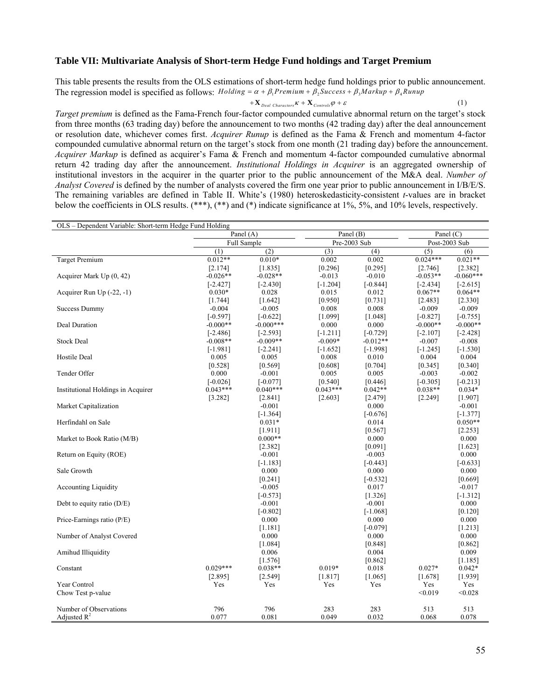#### **Table VII: Multivariate Analysis of Short-term Hedge Fund holdings and Target Premium**

This table presents the results from the OLS estimations of short-term hedge fund holdings prior to public announcement. The regression model is specified as follows:  $Holding = \alpha + \beta_1 Premium + \beta_2 Success + \beta_3Markup + \beta_4 Runup$ 

$$
+\mathbf{X}_{\text{Deal Characteristics}}\kappa + \mathbf{X}_{\text{Controls}}\varphi + \varepsilon \tag{1}
$$

*Target premium* is defined as the Fama-French four-factor compounded cumulative abnormal return on the target's stock from three months (63 trading day) before the announcement to two months (42 trading day) after the deal announcement or resolution date, whichever comes first. *Acquirer Runup* is defined as the Fama & French and momentum 4-factor compounded cumulative abnormal return on the target's stock from one month (21 trading day) before the announcement. *Acquirer Markup* is defined as acquirer's Fama & French and momentum 4-factor compounded cumulative abnormal return 42 trading day after the announcement. *Institutional Holdings in Acquirer* is an aggregated ownership of institutional investors in the acquirer in the quarter prior to the public announcement of the M&A deal. *Number of Analyst Covered* is defined by the number of analysts covered the firm one year prior to public announcement in I/B/E/S. The remaining variables are defined in Table II. White's (1980) heteroskedasticity-consistent *t*-values are in bracket below the coefficients in OLS results. (\*\*\*), (\*\*) and (\*) indicate significance at 1%, 5%, and 10% levels, respectively.

| OLS – Dependent Variable: Short-term Hedge Fund Holding |            |             |              |            |               |             |
|---------------------------------------------------------|------------|-------------|--------------|------------|---------------|-------------|
|                                                         |            | Panel $(A)$ | Panel (B)    |            | Panel $(C)$   |             |
|                                                         |            | Full Sample | Pre-2003 Sub |            | Post-2003 Sub |             |
|                                                         | (1)        | (2)         | (3)          | (4)        | (5)           | (6)         |
| <b>Target Premium</b>                                   | $0.012**$  | $0.010*$    | 0.002        | 0.002      | $0.024***$    | $0.021**$   |
|                                                         | [2.174]    | [1.835]     | [0.296]      | [0.295]    | [2.746]       | [2.382]     |
| Acquirer Mark Up (0, 42)                                | $-0.026**$ | $-0.028**$  | $-0.013$     | $-0.010$   | $-0.053**$    | $-0.060***$ |
|                                                         | $[-2.427]$ | $[-2.430]$  | $[-1.204]$   | $[-0.844]$ | $[-2.434]$    | $[-2.615]$  |
| Acquirer Run $Up(-22, -1)$                              | $0.030*$   | 0.028       | 0.015        | 0.012      | $0.067**$     | $0.064**$   |
|                                                         | [1.744]    | [1.642]     | [0.950]      | [0.731]    | [2.483]       | [2.330]     |
| <b>Success Dummy</b>                                    | $-0.004$   | $-0.005$    | 0.008        | 0.008      | $-0.009$      | $-0.009$    |
|                                                         | $[-0.597]$ | $[-0.622]$  | [1.099]      | [1.048]    | $[-0.827]$    | $[-0.755]$  |
| Deal Duration                                           | $-0.000**$ | $-0.000***$ | 0.000        | 0.000      | $-0.000**$    | $-0.000**$  |
|                                                         | $[-2.486]$ | $[-2.593]$  | $[-1.211]$   | $[-0.729]$ | $[-2.107]$    | $[-2.428]$  |
| <b>Stock Deal</b>                                       | $-0.008**$ | $-0.009**$  | $-0.009*$    | $-0.012**$ | $-0.007$      | $-0.008$    |
|                                                         | $[-1.981]$ | $[-2.241]$  | $[-1.652]$   | $[-1.998]$ | $[-1.245]$    | $[-1.530]$  |
| Hostile Deal                                            | 0.005      | 0.005       | 0.008        | 0.010      | 0.004         | 0.004       |
|                                                         | [0.528]    | [0.569]     | [0.608]      | [0.704]    | [0.345]       | [0.340]     |
| Tender Offer                                            | 0.000      | $-0.001$    | 0.005        | 0.005      | $-0.003$      | $-0.002$    |
|                                                         | $[-0.026]$ | $[-0.077]$  | [0.540]      | [0.446]    | $[-0.305]$    | $[-0.213]$  |
| Institutional Holdings in Acquirer                      | $0.043***$ | $0.040***$  | $0.043***$   | $0.042**$  | $0.038**$     | $0.034*$    |
|                                                         | [3.282]    | [2.841]     | [2.603]      | [2.479]    | [2.249]       | [1.907]     |
| Market Capitalization                                   |            | $-0.001$    |              | 0.000      |               | $-0.001$    |
|                                                         |            | $[-1.364]$  |              | $[-0.676]$ |               | $[-1.377]$  |
| Herfindahl on Sale                                      |            | $0.031*$    |              | 0.014      |               | $0.050**$   |
|                                                         |            | [1.911]     |              | [0.567]    |               | [2.253]     |
| Market to Book Ratio (M/B)                              |            | $0.000**$   |              | 0.000      |               | 0.000       |
|                                                         |            | [2.382]     |              | [0.091]    |               | [1.623]     |
| Return on Equity (ROE)                                  |            | $-0.001$    |              | $-0.003$   |               | 0.000       |
|                                                         |            | $[-1.183]$  |              | $[-0.443]$ |               | $[-0.633]$  |
| Sale Growth                                             |            | 0.000       |              | 0.000      |               | 0.000       |
|                                                         |            | [0.241]     |              | $[-0.532]$ |               | [0.669]     |
| <b>Accounting Liquidity</b>                             |            | $-0.005$    |              | 0.017      |               | $-0.017$    |
|                                                         |            | $[-0.573]$  |              | [1.326]    |               | $[-1.312]$  |
| Debt to equity ratio $(D/E)$                            |            | $-0.001$    |              | $-0.001$   |               | 0.000       |
|                                                         |            | $[-0.802]$  |              | $[-1.068]$ |               | [0.120]     |
| Price-Earnings ratio (P/E)                              |            | 0.000       |              | 0.000      |               | 0.000       |
|                                                         |            | [1.181]     |              | $[-0.079]$ |               | [1.213]     |
| Number of Analyst Covered                               |            | 0.000       |              | 0.000      |               | 0.000       |
|                                                         |            | [1.084]     |              | [0.848]    |               | [0.862]     |
| Amihud Illiquidity                                      |            | 0.006       |              | 0.004      |               | 0.009       |
|                                                         |            | [1.576]     |              | [0.862]    |               | [1.185]     |
| Constant                                                | $0.029***$ | $0.038**$   | $0.019*$     | 0.018      | $0.027*$      | $0.042*$    |
|                                                         | [2.895]    | [2.549]     | [1.817]      | [1.065]    | [1.678]       | [1.939]     |
| Year Control                                            | Yes        | Yes         | Yes          | Yes        | Yes           | Yes         |
| Chow Test p-value                                       |            |             |              |            | < 0.019       | < 0.028     |
|                                                         |            |             |              |            |               |             |
| Number of Observations                                  | 796        | 796         | 283          | 283        | 513           | 513         |
| Adjusted $R^2$                                          | 0.077      | 0.081       | 0.049        | 0.032      | 0.068         | 0.078       |
|                                                         |            |             |              |            |               |             |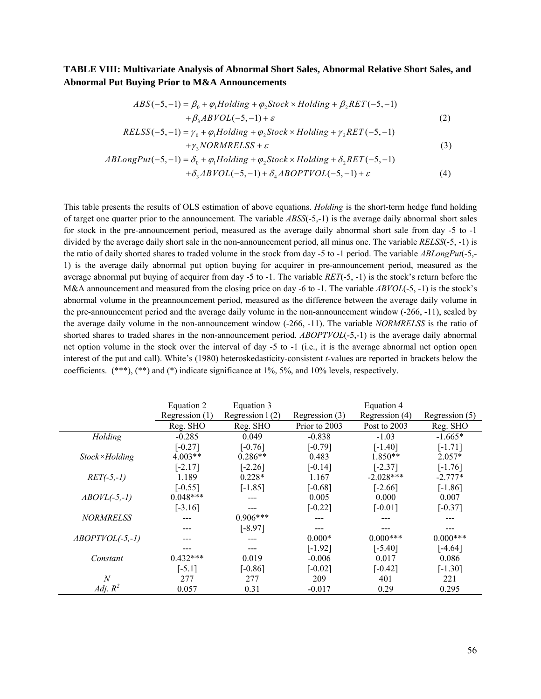#### **TABLE VIII: Multivariate Analysis of Abnormal Short Sales, Abnormal Relative Short Sales, and Abnormal Put Buying Prior to M&A Announcements**

$$
ABS(-5,-1) = \beta_0 + \varphi_1 Holding + \varphi_2 Stock \times Holding + \beta_2 RET(-5,-1) + \beta_3 ABVOL(-5,-1) + \varepsilon
$$
\n(2)

$$
RELSS(-5, -1) = \gamma_0 + \varphi_1 Holding + \varphi_2 Stock \times Holding + \gamma_2 RET(-5, -1) + \gamma_3 NORMRELSS + \varepsilon
$$
\n(3)

$$
ABLongPut(-5,-1) = \delta_0 + \varphi_1 Holding + \varphi_2 Stock \times Holding + \delta_2 RET(-5,-1) + \delta_3 ABVOL(-5,-1) + \delta_4 ABOPTVOL(-5,-1) + \varepsilon
$$
 (4)

This table presents the results of OLS estimation of above equations. *Holding* is the short-term hedge fund holding of target one quarter prior to the announcement. The variable *ABSS*(-5,-1) is the average daily abnormal short sales for stock in the pre-announcement period, measured as the average daily abnormal short sale from day -5 to -1 divided by the average daily short sale in the non-announcement period, all minus one. The variable *RELSS*(-5, -1) is the ratio of daily shorted shares to traded volume in the stock from day -5 to -1 period. The variable *ABLongPut*(-5,- 1) is the average daily abnormal put option buying for acquirer in pre-announcement period, measured as the average abnormal put buying of acquirer from day -5 to -1. The variable *RET*(-5, -1) is the stock's return before the M&A announcement and measured from the closing price on day -6 to -1. The variable *ABVOL*(-5, -1) is the stock's abnormal volume in the preannouncement period, measured as the difference between the average daily volume in the pre-announcement period and the average daily volume in the non-announcement window (-266, -11), scaled by the average daily volume in the non-announcement window (-266, -11). The variable *NORMRELSS* is the ratio of shorted shares to traded shares in the non-announcement period. *ABOPTVOL*(-5,-1) is the average daily abnormal net option volume in the stock over the interval of day -5 to -1 (i.e., it is the average abnormal net option open interest of the put and call). White's (1980) heteroskedasticity-consistent *t*-values are reported in brackets below the coefficients.  $(***)$ ,  $(**)$  and  $(*)$  indicate significance at  $1\%$ ,  $5\%$ , and  $10\%$  levels, respectively.

|                      | Equation 2       | Equation 3        |                | Equation 4     |                |
|----------------------|------------------|-------------------|----------------|----------------|----------------|
|                      | Regression $(1)$ | Regression $1(2)$ | Regression (3) | Regression (4) | Regression (5) |
|                      | Reg. SHO         | Reg. SHO          | Prior to 2003  | Post to 2003   | Reg. SHO       |
| Holding              | $-0.285$         | 0.049             | $-0.838$       | $-1.03$        | $-1.665*$      |
|                      | $[-0.27]$        | $[-0.76]$         | $[-0.79]$      | $[-1.40]$      | $[-1.71]$      |
| <b>Stock×Holding</b> | $4.003**$        | $0.286**$         | 0.483          | $1.850**$      | $2.057*$       |
|                      | $[-2.17]$        | $[-2.26]$         | $[-0.14]$      | $[-2.37]$      | $[-1.76]$      |
| $RET(-5,-1)$         | 1.189            | $0.228*$          | 1.167          | $-2.028***$    | $-2.777*$      |
|                      | $[-0.55]$        | $[-1.85]$         | $[-0.68]$      | $[-2.66]$      | $[-1.86]$      |
| $ABOVL(-5,-1)$       | $0.048***$       |                   | 0.005          | 0.000          | 0.007          |
|                      | $[-3.16]$        |                   | $[-0.22]$      | $[-0.01]$      | $[-0.37]$      |
| <b>NORMRELSS</b>     |                  | $0.906***$        |                |                |                |
|                      |                  | $[-8.97]$         |                |                |                |
| $ABOPTVOL(-5,-1)$    |                  |                   | $0.000*$       | $0.000***$     | $0.000***$     |
|                      |                  |                   | $[-1.92]$      | $[-5.40]$      | $[-4.64]$      |
| Constant             | $0.432***$       | 0.019             | $-0.006$       | 0.017          | 0.086          |
|                      | $[-5.1]$         | $[-0.86]$         | $[-0.02]$      | $[-0.42]$      | $[-1.30]$      |
| $\overline{N}$       | 277              | 277               | 209            | 401            | 221            |
| Adj. $R^2$           | 0.057            | 0.31              | $-0.017$       | 0.29           | 0.295          |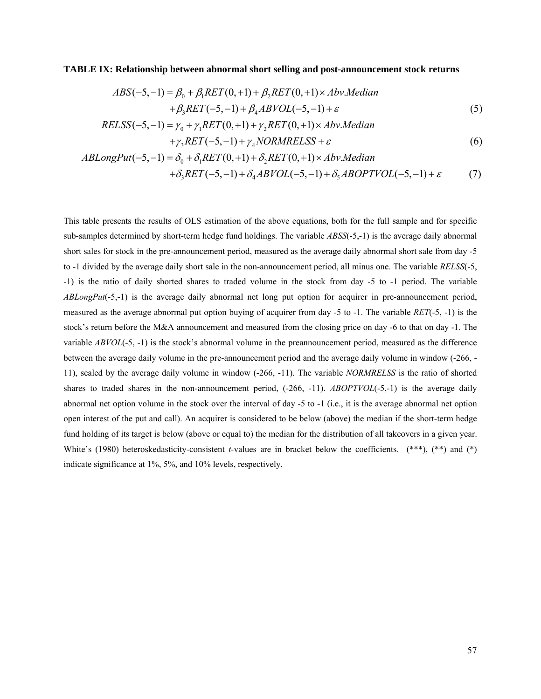**TABLE IX: Relationship between abnormal short selling and post-announcement stock returns** 

$$
ABS(-5,-1) = \beta_0 + \beta_1 RET(0,+1) + \beta_2RET(0,+1) \times Abv.Median + \beta_3RET(-5,-1) + \beta_4ABVOL(-5,-1) + \varepsilon
$$
 (5)

$$
RELSS(-5, -1) = \gamma_0 + \gamma_1 RET(0, +1) + \gamma_2 RET(0, +1) \times Abv.Median
$$
  
+
$$
\gamma_3RET(-5, -1) + \gamma_4 NORMALSS + \varepsilon
$$
 (6)

$$
ABLongPut(-5,-1) = \delta_0 + \delta_1 RET(0,+1) + \delta_2RET(0,+1) \times Abv.Median
$$
  
+  $\delta_3RET(-5,-1) + \delta_4ABVOL(-5,-1) + \delta_5ABOPTVOL(-5,-1) + \varepsilon$  (7)

This table presents the results of OLS estimation of the above equations, both for the full sample and for specific sub-samples determined by short-term hedge fund holdings. The variable *ABSS*(-5,-1) is the average daily abnormal short sales for stock in the pre-announcement period, measured as the average daily abnormal short sale from day -5 to -1 divided by the average daily short sale in the non-announcement period, all minus one. The variable *RELSS*(-5, -1) is the ratio of daily shorted shares to traded volume in the stock from day -5 to -1 period. The variable *ABLongPut*(-5,-1) is the average daily abnormal net long put option for acquirer in pre-announcement period, measured as the average abnormal put option buying of acquirer from day -5 to -1. The variable *RET*(-5, -1) is the stock's return before the M&A announcement and measured from the closing price on day -6 to that on day -1. The variable *ABVOL*(-5, -1) is the stock's abnormal volume in the preannouncement period, measured as the difference between the average daily volume in the pre-announcement period and the average daily volume in window (-266, - 11), scaled by the average daily volume in window (-266, -11). The variable *NORMRELSS* is the ratio of shorted shares to traded shares in the non-announcement period,  $(-266, -11)$ . *ABOPTVOL* $(-5, -1)$  is the average daily abnormal net option volume in the stock over the interval of day -5 to -1 (i.e., it is the average abnormal net option open interest of the put and call). An acquirer is considered to be below (above) the median if the short-term hedge fund holding of its target is below (above or equal to) the median for the distribution of all takeovers in a given year. White's (1980) heteroskedasticity-consistent *t*-values are in bracket below the coefficients. (\*\*\*), (\*\*) and (\*) indicate significance at 1%, 5%, and 10% levels, respectively.